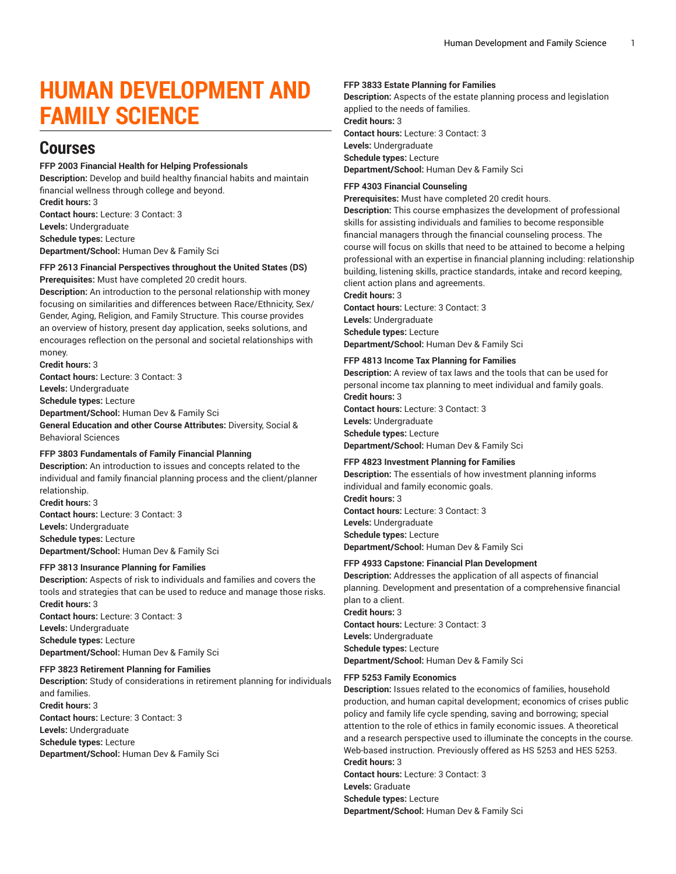# **HUMAN DEVELOPMENT AND FAMILY SCIENCE**

## **Courses**

### **FFP 2003 Financial Health for Helping Professionals**

**Description:** Develop and build healthy financial habits and maintain financial wellness through college and beyond. **Credit hours:** 3 **Contact hours:** Lecture: 3 Contact: 3 **Levels:** Undergraduate **Schedule types:** Lecture

**Department/School:** Human Dev & Family Sci

#### **FFP 2613 Financial Perspectives throughout the United States (DS) Prerequisites:** Must have completed 20 credit hours.

**Description:** An introduction to the personal relationship with money focusing on similarities and differences between Race/Ethnicity, Sex/ Gender, Aging, Religion, and Family Structure. This course provides an overview of history, present day application, seeks solutions, and encourages reflection on the personal and societal relationships with money.

**Credit hours:** 3

**Contact hours:** Lecture: 3 Contact: 3 **Levels:** Undergraduate **Schedule types:** Lecture **Department/School:** Human Dev & Family Sci **General Education and other Course Attributes:** Diversity, Social & Behavioral Sciences

### **FFP 3803 Fundamentals of Family Financial Planning**

**Description:** An introduction to issues and concepts related to the individual and family financial planning process and the client/planner relationship.

**Credit hours:** 3 **Contact hours:** Lecture: 3 Contact: 3 **Levels:** Undergraduate **Schedule types:** Lecture **Department/School:** Human Dev & Family Sci

### **FFP 3813 Insurance Planning for Families**

**Description:** Aspects of risk to individuals and families and covers the tools and strategies that can be used to reduce and manage those risks. **Credit hours:** 3 **Contact hours:** Lecture: 3 Contact: 3 **Levels:** Undergraduate **Schedule types:** Lecture **Department/School:** Human Dev & Family Sci

### **FFP 3823 Retirement Planning for Families**

**Description:** Study of considerations in retirement planning for individuals and families. **Credit hours:** 3 **Contact hours:** Lecture: 3 Contact: 3 **Levels:** Undergraduate **Schedule types:** Lecture **Department/School:** Human Dev & Family Sci

### **FFP 3833 Estate Planning for Families**

**Description:** Aspects of the estate planning process and legislation applied to the needs of families. **Credit hours:** 3

**Contact hours:** Lecture: 3 Contact: 3

**Levels:** Undergraduate **Schedule types:** Lecture

**Department/School:** Human Dev & Family Sci

### **FFP 4303 Financial Counseling**

**Prerequisites:** Must have completed 20 credit hours.

**Description:** This course emphasizes the development of professional skills for assisting individuals and families to become responsible financial managers through the financial counseling process. The course will focus on skills that need to be attained to become a helping professional with an expertise in financial planning including: relationship building, listening skills, practice standards, intake and record keeping, client action plans and agreements.

**Credit hours:** 3

**Contact hours:** Lecture: 3 Contact: 3 **Levels:** Undergraduate **Schedule types:** Lecture **Department/School:** Human Dev & Family Sci

### **FFP 4813 Income Tax Planning for Families**

**Description:** A review of tax laws and the tools that can be used for personal income tax planning to meet individual and family goals. **Credit hours:** 3 **Contact hours:** Lecture: 3 Contact: 3

**Levels:** Undergraduate

**Schedule types:** Lecture **Department/School:** Human Dev & Family Sci

### **FFP 4823 Investment Planning for Families**

**Description:** The essentials of how investment planning informs individual and family economic goals. **Credit hours:** 3 **Contact hours:** Lecture: 3 Contact: 3 **Levels:** Undergraduate **Schedule types:** Lecture **Department/School:** Human Dev & Family Sci

### **FFP 4933 Capstone: Financial Plan Development**

**Description:** Addresses the application of all aspects of financial planning. Development and presentation of a comprehensive financial plan to a client. **Credit hours:** 3 **Contact hours:** Lecture: 3 Contact: 3

**Levels:** Undergraduate

**Schedule types:** Lecture **Department/School:** Human Dev & Family Sci

## **FFP 5253 Family Economics**

**Description:** Issues related to the economics of families, household production, and human capital development; economics of crises public policy and family life cycle spending, saving and borrowing; special attention to the role of ethics in family economic issues. A theoretical and a research perspective used to illuminate the concepts in the course. Web-based instruction. Previously offered as HS 5253 and HES 5253. **Credit hours:** 3 **Contact hours:** Lecture: 3 Contact: 3 **Levels:** Graduate **Schedule types:** Lecture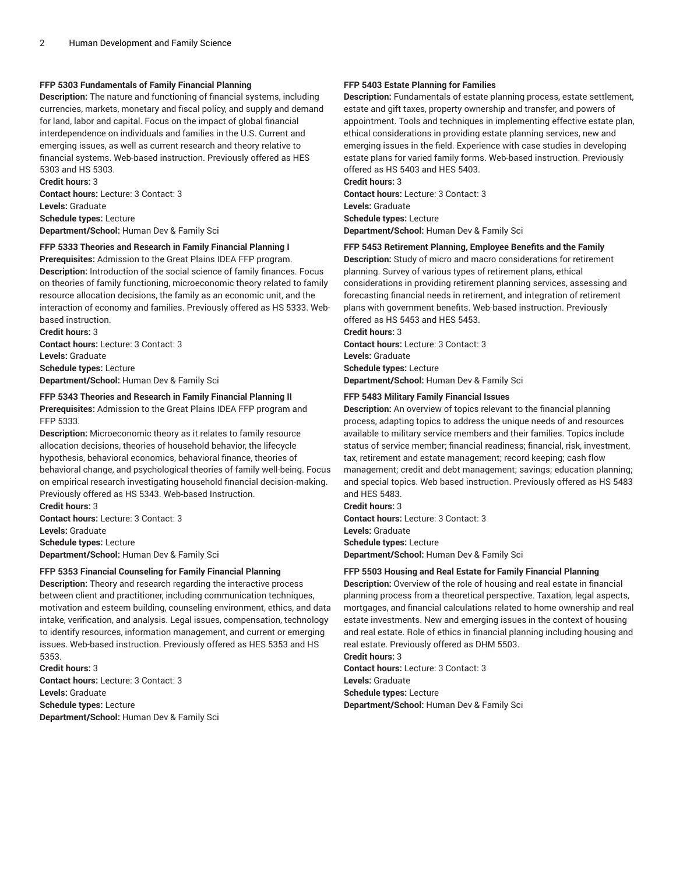### **FFP 5303 Fundamentals of Family Financial Planning**

**Description:** The nature and functioning of financial systems, including currencies, markets, monetary and fiscal policy, and supply and demand for land, labor and capital. Focus on the impact of global financial interdependence on individuals and families in the U.S. Current and emerging issues, as well as current research and theory relative to financial systems. Web-based instruction. Previously offered as HES 5303 and HS 5303.

**Credit hours:** 3 **Contact hours:** Lecture: 3 Contact: 3 **Levels:** Graduate **Schedule types:** Lecture **Department/School:** Human Dev & Family Sci

### **FFP 5333 Theories and Research in Family Financial Planning I**

**Prerequisites:** Admission to the Great Plains IDEA FFP program. **Description:** Introduction of the social science of family finances. Focus on theories of family functioning, microeconomic theory related to family resource allocation decisions, the family as an economic unit, and the interaction of economy and families. Previously offered as HS 5333. Webbased instruction.

**Credit hours:** 3 **Contact hours:** Lecture: 3 Contact: 3 **Levels:** Graduate **Schedule types:** Lecture **Department/School:** Human Dev & Family Sci

### **FFP 5343 Theories and Research in Family Financial Planning II Prerequisites:** Admission to the Great Plains IDEA FFP program and FFP 5333.

**Description:** Microeconomic theory as it relates to family resource allocation decisions, theories of household behavior, the lifecycle hypothesis, behavioral economics, behavioral finance, theories of behavioral change, and psychological theories of family well-being. Focus on empirical research investigating household financial decision-making. Previously offered as HS 5343. Web-based Instruction.

**Credit hours:** 3 **Contact hours:** Lecture: 3 Contact: 3 **Levels:** Graduate **Schedule types:** Lecture **Department/School:** Human Dev & Family Sci

### **FFP 5353 Financial Counseling for Family Financial Planning**

**Description:** Theory and research regarding the interactive process between client and practitioner, including communication techniques, motivation and esteem building, counseling environment, ethics, and data intake, verification, and analysis. Legal issues, compensation, technology to identify resources, information management, and current or emerging issues. Web-based instruction. Previously offered as HES 5353 and HS 5353.

**Credit hours:** 3 **Contact hours:** Lecture: 3 Contact: 3 **Levels:** Graduate **Schedule types:** Lecture **Department/School:** Human Dev & Family Sci

### **FFP 5403 Estate Planning for Families**

**Description:** Fundamentals of estate planning process, estate settlement, estate and gift taxes, property ownership and transfer, and powers of appointment. Tools and techniques in implementing effective estate plan, ethical considerations in providing estate planning services, new and emerging issues in the field. Experience with case studies in developing estate plans for varied family forms. Web-based instruction. Previously offered as HS 5403 and HES 5403.

**Credit hours:** 3 **Contact hours:** Lecture: 3 Contact: 3 **Levels:** Graduate **Schedule types:** Lecture **Department/School:** Human Dev & Family Sci

### **FFP 5453 Retirement Planning, Employee Benefits and the Family**

**Description:** Study of micro and macro considerations for retirement planning. Survey of various types of retirement plans, ethical considerations in providing retirement planning services, assessing and forecasting financial needs in retirement, and integration of retirement plans with government benefits. Web-based instruction. Previously offered as HS 5453 and HES 5453.

**Credit hours:** 3 **Contact hours:** Lecture: 3 Contact: 3 **Levels:** Graduate **Schedule types:** Lecture **Department/School:** Human Dev & Family Sci

### **FFP 5483 Military Family Financial Issues**

**Description:** An overview of topics relevant to the financial planning process, adapting topics to address the unique needs of and resources available to military service members and their families. Topics include status of service member; financial readiness; financial, risk, investment, tax, retirement and estate management; record keeping; cash flow management; credit and debt management; savings; education planning; and special topics. Web based instruction. Previously offered as HS 5483 and HES 5483.

**Credit hours:** 3 **Contact hours:** Lecture: 3 Contact: 3 **Levels:** Graduate **Schedule types:** Lecture **Department/School:** Human Dev & Family Sci

### **FFP 5503 Housing and Real Estate for Family Financial Planning**

**Description:** Overview of the role of housing and real estate in financial planning process from a theoretical perspective. Taxation, legal aspects, mortgages, and financial calculations related to home ownership and real estate investments. New and emerging issues in the context of housing and real estate. Role of ethics in financial planning including housing and real estate. Previously offered as DHM 5503.

**Credit hours:** 3 **Contact hours:** Lecture: 3 Contact: 3 **Levels:** Graduate **Schedule types:** Lecture **Department/School:** Human Dev & Family Sci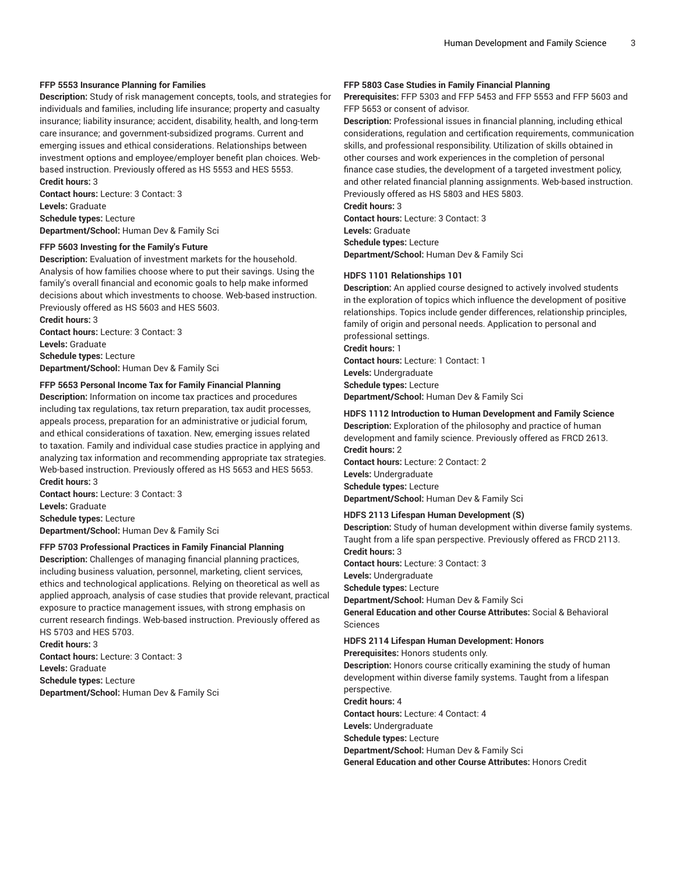### **FFP 5553 Insurance Planning for Families**

**Description:** Study of risk management concepts, tools, and strategies for individuals and families, including life insurance; property and casualty insurance; liability insurance; accident, disability, health, and long-term care insurance; and government-subsidized programs. Current and emerging issues and ethical considerations. Relationships between investment options and employee/employer benefit plan choices. Webbased instruction. Previously offered as HS 5553 and HES 5553. **Credit hours:** 3

**Contact hours:** Lecture: 3 Contact: 3 **Levels:** Graduate **Schedule types:** Lecture **Department/School:** Human Dev & Family Sci

#### **FFP 5603 Investing for the Family's Future**

**Description:** Evaluation of investment markets for the household. Analysis of how families choose where to put their savings. Using the family's overall financial and economic goals to help make informed decisions about which investments to choose. Web-based instruction. Previously offered as HS 5603 and HES 5603.

**Credit hours:** 3 **Contact hours:** Lecture: 3 Contact: 3 **Levels:** Graduate **Schedule types:** Lecture **Department/School:** Human Dev & Family Sci

#### **FFP 5653 Personal Income Tax for Family Financial Planning**

**Description:** Information on income tax practices and procedures including tax regulations, tax return preparation, tax audit processes, appeals process, preparation for an administrative or judicial forum, and ethical considerations of taxation. New, emerging issues related to taxation. Family and individual case studies practice in applying and analyzing tax information and recommending appropriate tax strategies. Web-based instruction. Previously offered as HS 5653 and HES 5653. **Credit hours:** 3

**Contact hours:** Lecture: 3 Contact: 3 **Levels:** Graduate **Schedule types:** Lecture **Department/School:** Human Dev & Family Sci

#### **FFP 5703 Professional Practices in Family Financial Planning**

**Description:** Challenges of managing financial planning practices, including business valuation, personnel, marketing, client services, ethics and technological applications. Relying on theoretical as well as applied approach, analysis of case studies that provide relevant, practical exposure to practice management issues, with strong emphasis on current research findings. Web-based instruction. Previously offered as HS 5703 and HES 5703.

**Credit hours:** 3 **Contact hours:** Lecture: 3 Contact: 3 **Levels:** Graduate **Schedule types:** Lecture **Department/School:** Human Dev & Family Sci

#### **FFP 5803 Case Studies in Family Financial Planning**

**Prerequisites:** FFP 5303 and FFP 5453 and FFP 5553 and FFP 5603 and FFP 5653 or consent of advisor.

**Description:** Professional issues in financial planning, including ethical considerations, regulation and certification requirements, communication skills, and professional responsibility. Utilization of skills obtained in other courses and work experiences in the completion of personal finance case studies, the development of a targeted investment policy, and other related financial planning assignments. Web-based instruction. Previously offered as HS 5803 and HES 5803.

**Credit hours:** 3

**Contact hours:** Lecture: 3 Contact: 3 **Levels:** Graduate **Schedule types:** Lecture **Department/School:** Human Dev & Family Sci

#### **HDFS 1101 Relationships 101**

**Description:** An applied course designed to actively involved students in the exploration of topics which influence the development of positive relationships. Topics include gender differences, relationship principles, family of origin and personal needs. Application to personal and professional settings.

**Credit hours:** 1

**Contact hours:** Lecture: 1 Contact: 1 **Levels:** Undergraduate **Schedule types:** Lecture **Department/School:** Human Dev & Family Sci

### **HDFS 1112 Introduction to Human Development and Family Science**

**Description:** Exploration of the philosophy and practice of human development and family science. Previously offered as FRCD 2613. **Credit hours:** 2 **Contact hours:** Lecture: 2 Contact: 2

**Levels:** Undergraduate **Schedule types:** Lecture

**Department/School:** Human Dev & Family Sci

### **HDFS 2113 Lifespan Human Development (S)**

**Description:** Study of human development within diverse family systems. Taught from a life span perspective. Previously offered as FRCD 2113. **Credit hours:** 3

**Contact hours:** Lecture: 3 Contact: 3

**Levels:** Undergraduate

**Schedule types:** Lecture

**Department/School:** Human Dev & Family Sci

**General Education and other Course Attributes:** Social & Behavioral Sciences

#### **HDFS 2114 Lifespan Human Development: Honors**

**Prerequisites:** Honors students only.

**Description:** Honors course critically examining the study of human development within diverse family systems. Taught from a lifespan perspective.

**Credit hours:** 4

**Contact hours:** Lecture: 4 Contact: 4

**Levels:** Undergraduate

**Schedule types:** Lecture

**Department/School:** Human Dev & Family Sci

**General Education and other Course Attributes:** Honors Credit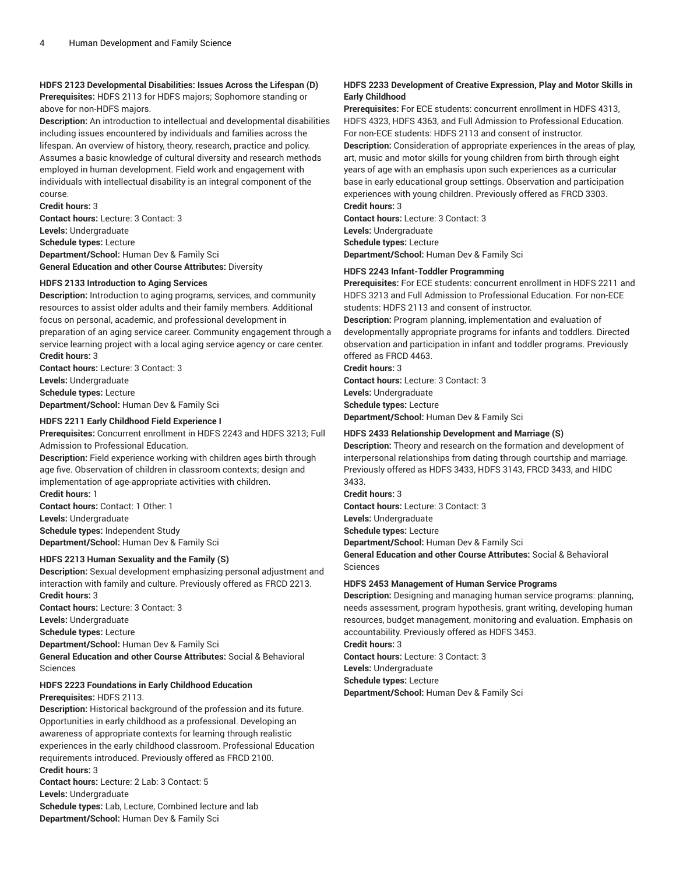### **HDFS 2123 Developmental Disabilities: Issues Across the Lifespan (D) Prerequisites:** HDFS 2113 for HDFS majors; Sophomore standing or above for non-HDFS majors.

**Description:** An introduction to intellectual and developmental disabilities including issues encountered by individuals and families across the lifespan. An overview of history, theory, research, practice and policy. Assumes a basic knowledge of cultural diversity and research methods employed in human development. Field work and engagement with individuals with intellectual disability is an integral component of the course.

**Credit hours:** 3

**Contact hours:** Lecture: 3 Contact: 3 **Levels:** Undergraduate **Schedule types:** Lecture **Department/School:** Human Dev & Family Sci **General Education and other Course Attributes:** Diversity

### **HDFS 2133 Introduction to Aging Services**

**Description:** Introduction to aging programs, services, and community resources to assist older adults and their family members. Additional focus on personal, academic, and professional development in preparation of an aging service career. Community engagement through a service learning project with a local aging service agency or care center. **Credit hours:** 3

**Contact hours:** Lecture: 3 Contact: 3 **Levels:** Undergraduate **Schedule types:** Lecture **Department/School:** Human Dev & Family Sci

### **HDFS 2211 Early Childhood Field Experience I**

**Prerequisites:** Concurrent enrollment in HDFS 2243 and HDFS 3213; Full Admission to Professional Education.

**Description:** Field experience working with children ages birth through age five. Observation of children in classroom contexts; design and implementation of age-appropriate activities with children. **Credit hours:** 1

**Contact hours:** Contact: 1 Other: 1 **Levels:** Undergraduate **Schedule types:** Independent Study **Department/School:** Human Dev & Family Sci

### **HDFS 2213 Human Sexuality and the Family (S)**

**Description:** Sexual development emphasizing personal adjustment and interaction with family and culture. Previously offered as FRCD 2213. **Credit hours:** 3

**Contact hours:** Lecture: 3 Contact: 3

**Levels:** Undergraduate

**Schedule types:** Lecture **Department/School:** Human Dev & Family Sci

**General Education and other Course Attributes:** Social & Behavioral Sciences

## **HDFS 2223 Foundations in Early Childhood Education**

**Prerequisites:** HDFS 2113.

**Description:** Historical background of the profession and its future. Opportunities in early childhood as a professional. Developing an awareness of appropriate contexts for learning through realistic experiences in the early childhood classroom. Professional Education requirements introduced. Previously offered as FRCD 2100. **Credit hours:** 3

**Contact hours:** Lecture: 2 Lab: 3 Contact: 5 **Levels:** Undergraduate

**Schedule types:** Lab, Lecture, Combined lecture and lab **Department/School:** Human Dev & Family Sci

### **HDFS 2233 Development of Creative Expression, Play and Motor Skills in Early Childhood**

**Prerequisites:** For ECE students: concurrent enrollment in HDFS 4313, HDFS 4323, HDFS 4363, and Full Admission to Professional Education. For non-ECE students: HDFS 2113 and consent of instructor.

**Description:** Consideration of appropriate experiences in the areas of play, art, music and motor skills for young children from birth through eight years of age with an emphasis upon such experiences as a curricular base in early educational group settings. Observation and participation experiences with young children. Previously offered as FRCD 3303.

**Credit hours:** 3

**Contact hours:** Lecture: 3 Contact: 3 **Levels:** Undergraduate **Schedule types:** Lecture

**Department/School:** Human Dev & Family Sci

### **HDFS 2243 Infant-Toddler Programming**

**Prerequisites:** For ECE students: concurrent enrollment in HDFS 2211 and HDFS 3213 and Full Admission to Professional Education. For non-ECE students: HDFS 2113 and consent of instructor.

**Description:** Program planning, implementation and evaluation of developmentally appropriate programs for infants and toddlers. Directed observation and participation in infant and toddler programs. Previously offered as FRCD 4463.

**Credit hours:** 3 **Contact hours:** Lecture: 3 Contact: 3 **Levels:** Undergraduate **Schedule types:** Lecture **Department/School:** Human Dev & Family Sci

### **HDFS 2433 Relationship Development and Marriage (S)**

**Description:** Theory and research on the formation and development of interpersonal relationships from dating through courtship and marriage. Previously offered as HDFS 3433, HDFS 3143, FRCD 3433, and HIDC 3433.

**Credit hours:** 3

**Contact hours:** Lecture: 3 Contact: 3

**Levels:** Undergraduate

**Schedule types:** Lecture

**Department/School:** Human Dev & Family Sci

**General Education and other Course Attributes:** Social & Behavioral Sciences

### **HDFS 2453 Management of Human Service Programs**

**Description:** Designing and managing human service programs: planning, needs assessment, program hypothesis, grant writing, developing human resources, budget management, monitoring and evaluation. Emphasis on accountability. Previously offered as HDFS 3453.

**Credit hours:** 3 **Contact hours:** Lecture: 3 Contact: 3 **Levels:** Undergraduate

**Schedule types:** Lecture **Department/School:** Human Dev & Family Sci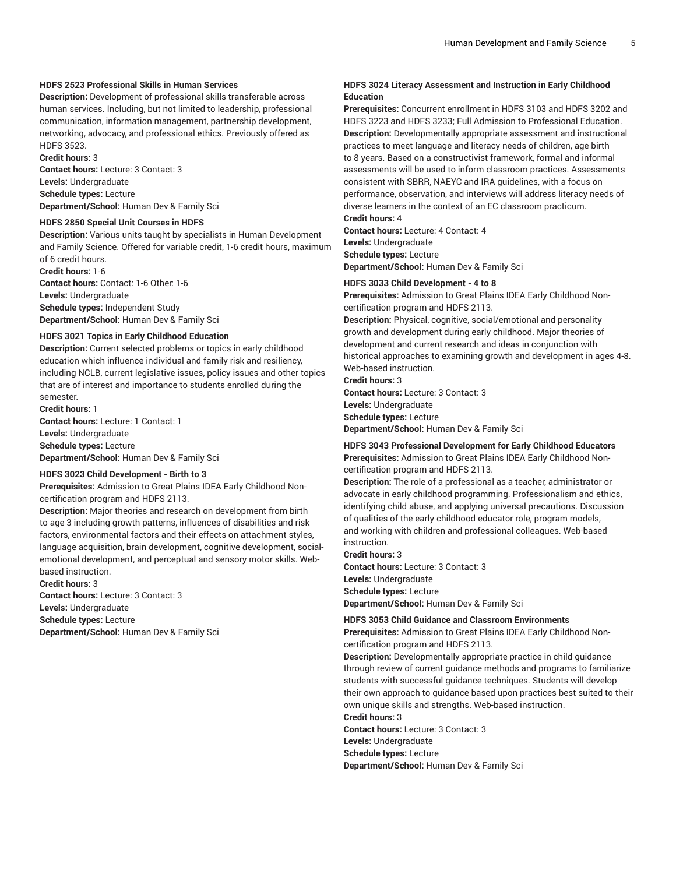### **HDFS 2523 Professional Skills in Human Services**

**Description:** Development of professional skills transferable across human services. Including, but not limited to leadership, professional communication, information management, partnership development, networking, advocacy, and professional ethics. Previously offered as HDFS 3523.

**Credit hours:** 3

**Contact hours:** Lecture: 3 Contact: 3 **Levels:** Undergraduate **Schedule types:** Lecture **Department/School:** Human Dev & Family Sci

#### **HDFS 2850 Special Unit Courses in HDFS**

**Description:** Various units taught by specialists in Human Development and Family Science. Offered for variable credit, 1-6 credit hours, maximum of 6 credit hours.

**Credit hours:** 1-6

**Contact hours:** Contact: 1-6 Other: 1-6 **Levels:** Undergraduate **Schedule types:** Independent Study **Department/School:** Human Dev & Family Sci

#### **HDFS 3021 Topics in Early Childhood Education**

**Description:** Current selected problems or topics in early childhood education which influence individual and family risk and resiliency, including NCLB, current legislative issues, policy issues and other topics that are of interest and importance to students enrolled during the semester.

**Credit hours:** 1

**Contact hours:** Lecture: 1 Contact: 1 **Levels:** Undergraduate **Schedule types:** Lecture **Department/School:** Human Dev & Family Sci

#### **HDFS 3023 Child Development - Birth to 3**

**Prerequisites:** Admission to Great Plains IDEA Early Childhood Noncertification program and HDFS 2113.

**Description:** Major theories and research on development from birth to age 3 including growth patterns, influences of disabilities and risk factors, environmental factors and their effects on attachment styles, language acquisition, brain development, cognitive development, socialemotional development, and perceptual and sensory motor skills. Webbased instruction.

**Credit hours:** 3

**Contact hours:** Lecture: 3 Contact: 3 **Levels:** Undergraduate **Schedule types:** Lecture

**Department/School:** Human Dev & Family Sci

### **HDFS 3024 Literacy Assessment and Instruction in Early Childhood Education**

**Prerequisites:** Concurrent enrollment in HDFS 3103 and HDFS 3202 and HDFS 3223 and HDFS 3233; Full Admission to Professional Education. **Description:** Developmentally appropriate assessment and instructional practices to meet language and literacy needs of children, age birth to 8 years. Based on a constructivist framework, formal and informal assessments will be used to inform classroom practices. Assessments consistent with SBRR, NAEYC and IRA guidelines, with a focus on performance, observation, and interviews will address literacy needs of diverse learners in the context of an EC classroom practicum. **Credit hours:** 4

**Contact hours:** Lecture: 4 Contact: 4 **Levels:** Undergraduate **Schedule types:** Lecture **Department/School:** Human Dev & Family Sci

#### **HDFS 3033 Child Development - 4 to 8**

**Prerequisites:** Admission to Great Plains IDEA Early Childhood Noncertification program and HDFS 2113.

**Description:** Physical, cognitive, social/emotional and personality growth and development during early childhood. Major theories of development and current research and ideas in conjunction with historical approaches to examining growth and development in ages 4-8. Web-based instruction.

**Credit hours:** 3 **Contact hours:** Lecture: 3 Contact: 3

**Levels:** Undergraduate

**Schedule types:** Lecture **Department/School:** Human Dev & Family Sci

### **HDFS 3043 Professional Development for Early Childhood Educators**

**Prerequisites:** Admission to Great Plains IDEA Early Childhood Noncertification program and HDFS 2113.

**Description:** The role of a professional as a teacher, administrator or advocate in early childhood programming. Professionalism and ethics, identifying child abuse, and applying universal precautions. Discussion of qualities of the early childhood educator role, program models, and working with children and professional colleagues. Web-based instruction.

**Credit hours:** 3

**Contact hours:** Lecture: 3 Contact: 3 **Levels:** Undergraduate **Schedule types:** Lecture **Department/School:** Human Dev & Family Sci

#### **HDFS 3053 Child Guidance and Classroom Environments**

**Prerequisites:** Admission to Great Plains IDEA Early Childhood Noncertification program and HDFS 2113.

**Description:** Developmentally appropriate practice in child guidance through review of current guidance methods and programs to familiarize students with successful guidance techniques. Students will develop their own approach to guidance based upon practices best suited to their own unique skills and strengths. Web-based instruction. **Credit hours:** 3

**Contact hours:** Lecture: 3 Contact: 3

**Levels:** Undergraduate

**Schedule types:** Lecture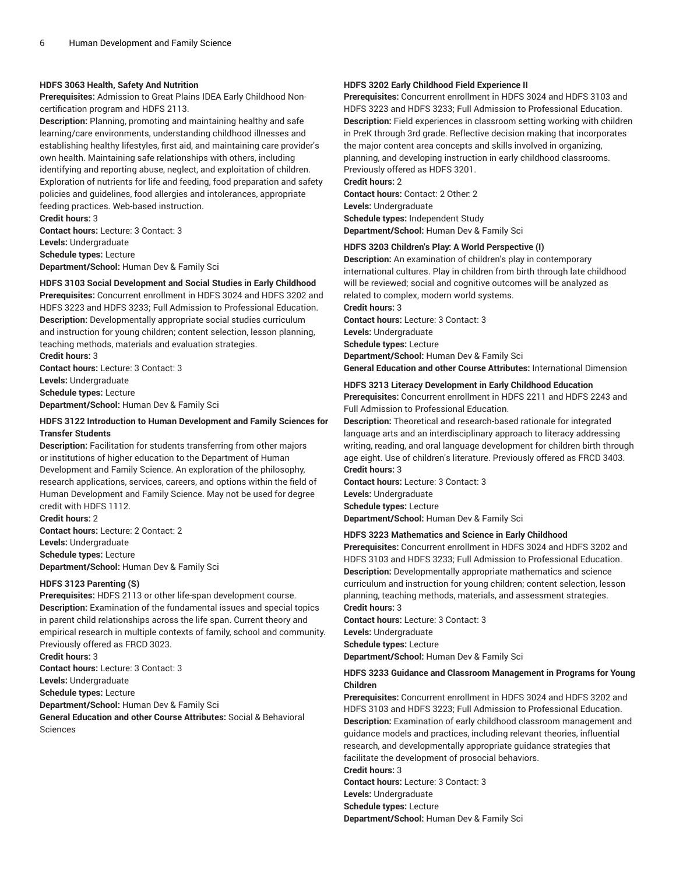### **HDFS 3063 Health, Safety And Nutrition**

**Prerequisites:** Admission to Great Plains IDEA Early Childhood Noncertification program and HDFS 2113.

**Description:** Planning, promoting and maintaining healthy and safe learning/care environments, understanding childhood illnesses and establishing healthy lifestyles, first aid, and maintaining care provider's own health. Maintaining safe relationships with others, including identifying and reporting abuse, neglect, and exploitation of children. Exploration of nutrients for life and feeding, food preparation and safety policies and guidelines, food allergies and intolerances, appropriate feeding practices. Web-based instruction.

**Credit hours:** 3 **Contact hours:** Lecture: 3 Contact: 3 **Levels:** Undergraduate **Schedule types:** Lecture **Department/School:** Human Dev & Family Sci

#### **HDFS 3103 Social Development and Social Studies in Early Childhood**

**Prerequisites:** Concurrent enrollment in HDFS 3024 and HDFS 3202 and HDFS 3223 and HDFS 3233; Full Admission to Professional Education. **Description:** Developmentally appropriate social studies curriculum and instruction for young children; content selection, lesson planning, teaching methods, materials and evaluation strategies. **Credit hours:** 3

**Contact hours:** Lecture: 3 Contact: 3 **Levels:** Undergraduate **Schedule types:** Lecture **Department/School:** Human Dev & Family Sci

### **HDFS 3122 Introduction to Human Development and Family Sciences for Transfer Students**

**Description:** Facilitation for students transferring from other majors or institutions of higher education to the Department of Human Development and Family Science. An exploration of the philosophy, research applications, services, careers, and options within the field of Human Development and Family Science. May not be used for degree credit with HDFS 1112.

**Credit hours:** 2 **Contact hours:** Lecture: 2 Contact: 2 **Levels:** Undergraduate **Schedule types:** Lecture **Department/School:** Human Dev & Family Sci

### **HDFS 3123 Parenting (S)**

**Prerequisites:** HDFS 2113 or other life-span development course. **Description:** Examination of the fundamental issues and special topics in parent child relationships across the life span. Current theory and empirical research in multiple contexts of family, school and community. Previously offered as FRCD 3023.

**Credit hours:** 3

**Contact hours:** Lecture: 3 Contact: 3

**Levels:** Undergraduate

**Schedule types:** Lecture

**Department/School:** Human Dev & Family Sci

**General Education and other Course Attributes:** Social & Behavioral Sciences

### **HDFS 3202 Early Childhood Field Experience II**

**Prerequisites:** Concurrent enrollment in HDFS 3024 and HDFS 3103 and HDFS 3223 and HDFS 3233; Full Admission to Professional Education. **Description:** Field experiences in classroom setting working with children in PreK through 3rd grade. Reflective decision making that incorporates the major content area concepts and skills involved in organizing, planning, and developing instruction in early childhood classrooms. Previously offered as HDFS 3201. **Credit hours:** 2

**Contact hours:** Contact: 2 Other: 2 **Levels:** Undergraduate **Schedule types:** Independent Study **Department/School:** Human Dev & Family Sci

### **HDFS 3203 Children's Play: A World Perspective (I)**

**Description:** An examination of children's play in contemporary international cultures. Play in children from birth through late childhood will be reviewed; social and cognitive outcomes will be analyzed as related to complex, modern world systems. **Credit hours:** 3 **Contact hours:** Lecture: 3 Contact: 3 **Levels:** Undergraduate

**Schedule types:** Lecture

**Department/School:** Human Dev & Family Sci

**General Education and other Course Attributes:** International Dimension

### **HDFS 3213 Literacy Development in Early Childhood Education**

**Prerequisites:** Concurrent enrollment in HDFS 2211 and HDFS 2243 and Full Admission to Professional Education.

**Description:** Theoretical and research-based rationale for integrated language arts and an interdisciplinary approach to literacy addressing writing, reading, and oral language development for children birth through age eight. Use of children's literature. Previously offered as FRCD 3403. **Credit hours:** 3

**Contact hours:** Lecture: 3 Contact: 3 **Levels:** Undergraduate **Schedule types:** Lecture **Department/School:** Human Dev & Family Sci

### **HDFS 3223 Mathematics and Science in Early Childhood**

**Prerequisites:** Concurrent enrollment in HDFS 3024 and HDFS 3202 and HDFS 3103 and HDFS 3233; Full Admission to Professional Education. **Description:** Developmentally appropriate mathematics and science curriculum and instruction for young children; content selection, lesson planning, teaching methods, materials, and assessment strategies. **Credit hours:** 3

**Contact hours:** Lecture: 3 Contact: 3 **Levels:** Undergraduate **Schedule types:** Lecture **Department/School:** Human Dev & Family Sci

#### **HDFS 3233 Guidance and Classroom Management in Programs for Young Children**

**Prerequisites:** Concurrent enrollment in HDFS 3024 and HDFS 3202 and HDFS 3103 and HDFS 3223; Full Admission to Professional Education. **Description:** Examination of early childhood classroom management and guidance models and practices, including relevant theories, influential research, and developmentally appropriate guidance strategies that facilitate the development of prosocial behaviors. **Credit hours:** 3

**Contact hours:** Lecture: 3 Contact: 3

**Levels:** Undergraduate

**Schedule types:** Lecture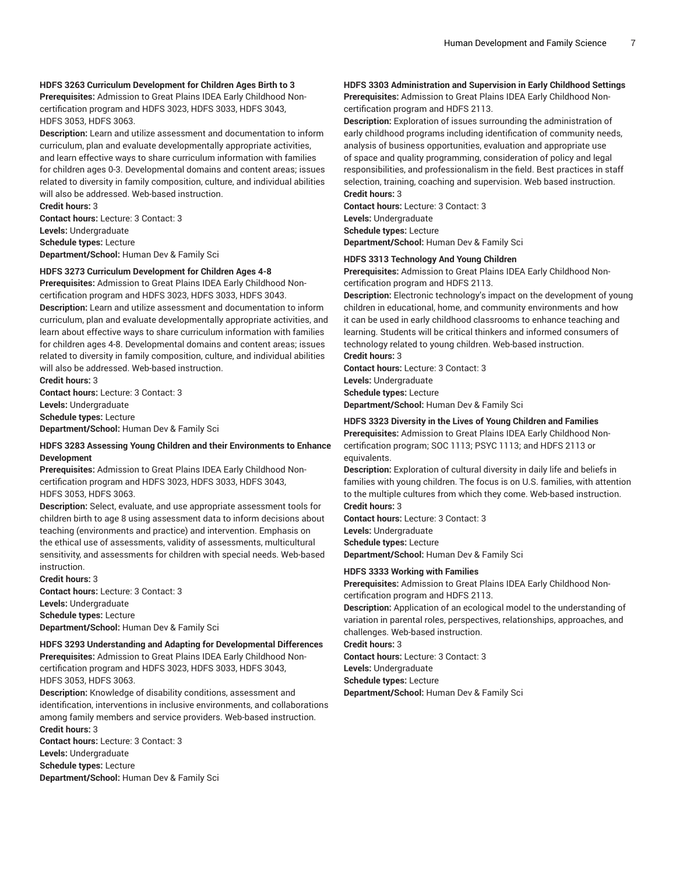#### **HDFS 3263 Curriculum Development for Children Ages Birth to 3**

**Prerequisites:** Admission to Great Plains IDEA Early Childhood Noncertification program and HDFS 3023, HDFS 3033, HDFS 3043, HDFS 3053, HDFS 3063.

**Description:** Learn and utilize assessment and documentation to inform curriculum, plan and evaluate developmentally appropriate activities, and learn effective ways to share curriculum information with families for children ages 0-3. Developmental domains and content areas; issues related to diversity in family composition, culture, and individual abilities will also be addressed. Web-based instruction.

**Credit hours:** 3 **Contact hours:** Lecture: 3 Contact: 3 **Levels:** Undergraduate **Schedule types:** Lecture **Department/School:** Human Dev & Family Sci

### **HDFS 3273 Curriculum Development for Children Ages 4-8**

**Prerequisites:** Admission to Great Plains IDEA Early Childhood Noncertification program and HDFS 3023, HDFS 3033, HDFS 3043.

**Description:** Learn and utilize assessment and documentation to inform curriculum, plan and evaluate developmentally appropriate activities, and learn about effective ways to share curriculum information with families for children ages 4-8. Developmental domains and content areas; issues related to diversity in family composition, culture, and individual abilities will also be addressed. Web-based instruction.

**Credit hours:** 3

**Contact hours:** Lecture: 3 Contact: 3

**Levels:** Undergraduate

**Schedule types:** Lecture

**Department/School:** Human Dev & Family Sci

#### **HDFS 3283 Assessing Young Children and their Environments to Enhance Development**

**Prerequisites:** Admission to Great Plains IDEA Early Childhood Noncertification program and HDFS 3023, HDFS 3033, HDFS 3043, HDFS 3053, HDFS 3063.

**Description:** Select, evaluate, and use appropriate assessment tools for children birth to age 8 using assessment data to inform decisions about teaching (environments and practice) and intervention. Emphasis on the ethical use of assessments, validity of assessments, multicultural sensitivity, and assessments for children with special needs. Web-based instruction.

**Credit hours:** 3 **Contact hours:** Lecture: 3 Contact: 3 **Levels:** Undergraduate **Schedule types:** Lecture **Department/School:** Human Dev & Family Sci

#### **HDFS 3293 Understanding and Adapting for Developmental Differences**

**Prerequisites:** Admission to Great Plains IDEA Early Childhood Noncertification program and HDFS 3023, HDFS 3033, HDFS 3043, HDFS 3053, HDFS 3063.

**Description:** Knowledge of disability conditions, assessment and identification, interventions in inclusive environments, and collaborations among family members and service providers. Web-based instruction. **Credit hours:** 3

**Contact hours:** Lecture: 3 Contact: 3 **Levels:** Undergraduate **Schedule types:** Lecture **Department/School:** Human Dev & Family Sci

### **HDFS 3303 Administration and Supervision in Early Childhood Settings**

**Prerequisites:** Admission to Great Plains IDEA Early Childhood Noncertification program and HDFS 2113.

**Description:** Exploration of issues surrounding the administration of early childhood programs including identification of community needs, analysis of business opportunities, evaluation and appropriate use of space and quality programming, consideration of policy and legal responsibilities, and professionalism in the field. Best practices in staff selection, training, coaching and supervision. Web based instruction. **Credit hours:** 3

**Contact hours:** Lecture: 3 Contact: 3 **Levels:** Undergraduate **Schedule types:** Lecture **Department/School:** Human Dev & Family Sci

#### **HDFS 3313 Technology And Young Children**

**Prerequisites:** Admission to Great Plains IDEA Early Childhood Noncertification program and HDFS 2113.

**Description:** Electronic technology's impact on the development of young children in educational, home, and community environments and how it can be used in early childhood classrooms to enhance teaching and learning. Students will be critical thinkers and informed consumers of technology related to young children. Web-based instruction.

**Credit hours:** 3

**Contact hours:** Lecture: 3 Contact: 3 **Levels:** Undergraduate **Schedule types:** Lecture

**Department/School:** Human Dev & Family Sci

### **HDFS 3323 Diversity in the Lives of Young Children and Families**

**Prerequisites:** Admission to Great Plains IDEA Early Childhood Noncertification program; SOC 1113; PSYC 1113; and HDFS 2113 or equivalents.

**Description:** Exploration of cultural diversity in daily life and beliefs in families with young children. The focus is on U.S. families, with attention to the multiple cultures from which they come. Web-based instruction.

**Credit hours:** 3

**Contact hours:** Lecture: 3 Contact: 3 **Levels:** Undergraduate **Schedule types:** Lecture **Department/School:** Human Dev & Family Sci

### **HDFS 3333 Working with Families**

**Prerequisites:** Admission to Great Plains IDEA Early Childhood Noncertification program and HDFS 2113.

**Description:** Application of an ecological model to the understanding of variation in parental roles, perspectives, relationships, approaches, and challenges. Web-based instruction.

**Credit hours:** 3

**Contact hours:** Lecture: 3 Contact: 3

**Levels:** Undergraduate

**Schedule types:** Lecture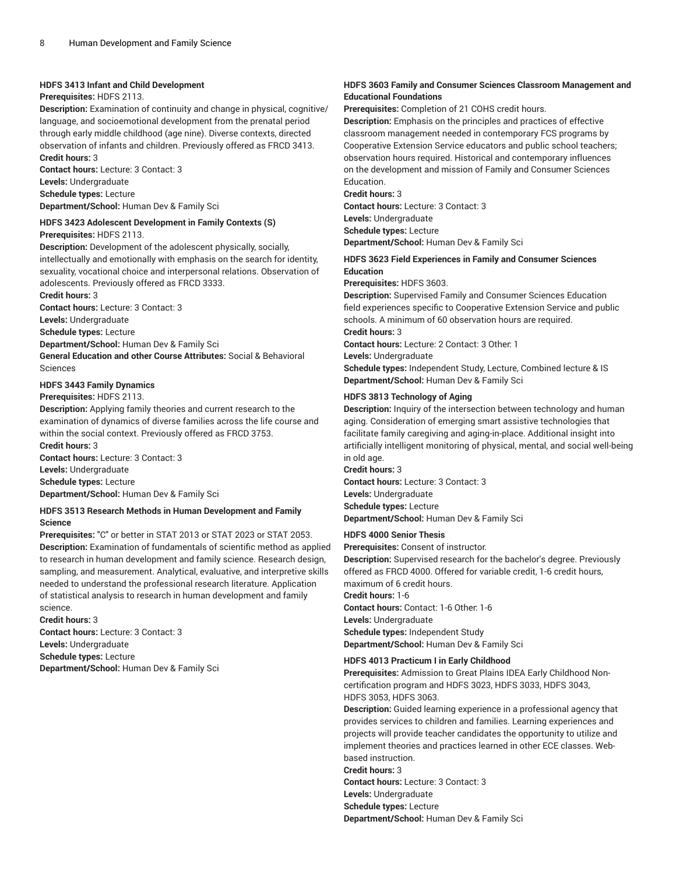### **HDFS 3413 Infant and Child Development**

### **Prerequisites:** HDFS 2113.

**Description:** Examination of continuity and change in physical, cognitive/ language, and socioemotional development from the prenatal period through early middle childhood (age nine). Diverse contexts, directed observation of infants and children. Previously offered as FRCD 3413. **Credit hours:** 3

**Contact hours:** Lecture: 3 Contact: 3 **Levels:** Undergraduate **Schedule types:** Lecture **Department/School:** Human Dev & Family Sci

### **HDFS 3423 Adolescent Development in Family Contexts (S)**

**Prerequisites:** HDFS 2113.

**Description:** Development of the adolescent physically, socially, intellectually and emotionally with emphasis on the search for identity, sexuality, vocational choice and interpersonal relations. Observation of adolescents. Previously offered as FRCD 3333.

**Credit hours:** 3

**Contact hours:** Lecture: 3 Contact: 3

**Levels:** Undergraduate **Schedule types:** Lecture

**Department/School:** Human Dev & Family Sci

**General Education and other Course Attributes:** Social & Behavioral Sciences

### **HDFS 3443 Family Dynamics**

#### **Prerequisites:** HDFS 2113.

**Description:** Applying family theories and current research to the examination of dynamics of diverse families across the life course and within the social context. Previously offered as FRCD 3753. **Credit hours:** 3

**Contact hours:** Lecture: 3 Contact: 3 **Levels:** Undergraduate **Schedule types:** Lecture **Department/School:** Human Dev & Family Sci

### **HDFS 3513 Research Methods in Human Development and Family Science**

**Prerequisites:** "C" or better in STAT 2013 or STAT 2023 or STAT 2053. **Description:** Examination of fundamentals of scientific method as applied to research in human development and family science. Research design, sampling, and measurement. Analytical, evaluative, and interpretive skills needed to understand the professional research literature. Application of statistical analysis to research in human development and family science.

**Credit hours:** 3 **Contact hours:** Lecture: 3 Contact: 3

**Levels:** Undergraduate

**Schedule types:** Lecture

**Department/School:** Human Dev & Family Sci

### **HDFS 3603 Family and Consumer Sciences Classroom Management and Educational Foundations**

**Prerequisites:** Completion of 21 COHS credit hours.

**Description:** Emphasis on the principles and practices of effective classroom management needed in contemporary FCS programs by Cooperative Extension Service educators and public school teachers; observation hours required. Historical and contemporary influences on the development and mission of Family and Consumer Sciences Education.

**Credit hours:** 3

**Contact hours:** Lecture: 3 Contact: 3

**Levels:** Undergraduate

**Schedule types:** Lecture

**Department/School:** Human Dev & Family Sci

### **HDFS 3623 Field Experiences in Family and Consumer Sciences Education**

**Prerequisites:** HDFS 3603.

**Description:** Supervised Family and Consumer Sciences Education field experiences specific to Cooperative Extension Service and public schools. A minimum of 60 observation hours are required.

**Credit hours:** 3

**Contact hours:** Lecture: 2 Contact: 3 Other: 1

**Levels:** Undergraduate

**Schedule types:** Independent Study, Lecture, Combined lecture & IS **Department/School:** Human Dev & Family Sci

### **HDFS 3813 Technology of Aging**

**Description:** Inquiry of the intersection between technology and human aging. Consideration of emerging smart assistive technologies that facilitate family caregiving and aging-in-place. Additional insight into artificially intelligent monitoring of physical, mental, and social well-being in old age.

**Credit hours:** 3 **Contact hours:** Lecture: 3 Contact: 3 **Levels:** Undergraduate **Schedule types:** Lecture **Department/School:** Human Dev & Family Sci

### **HDFS 4000 Senior Thesis**

**Prerequisites:** Consent of instructor.

**Description:** Supervised research for the bachelor's degree. Previously offered as FRCD 4000. Offered for variable credit, 1-6 credit hours, maximum of 6 credit hours. **Credit hours:** 1-6 **Contact hours:** Contact: 1-6 Other: 1-6

**Levels:** Undergraduate **Schedule types:** Independent Study **Department/School:** Human Dev & Family Sci

### **HDFS 4013 Practicum I in Early Childhood**

**Prerequisites:** Admission to Great Plains IDEA Early Childhood Noncertification program and HDFS 3023, HDFS 3033, HDFS 3043, HDFS 3053, HDFS 3063.

**Description:** Guided learning experience in a professional agency that provides services to children and families. Learning experiences and projects will provide teacher candidates the opportunity to utilize and implement theories and practices learned in other ECE classes. Webbased instruction.

**Credit hours:** 3

**Contact hours:** Lecture: 3 Contact: 3

**Levels:** Undergraduate

**Schedule types:** Lecture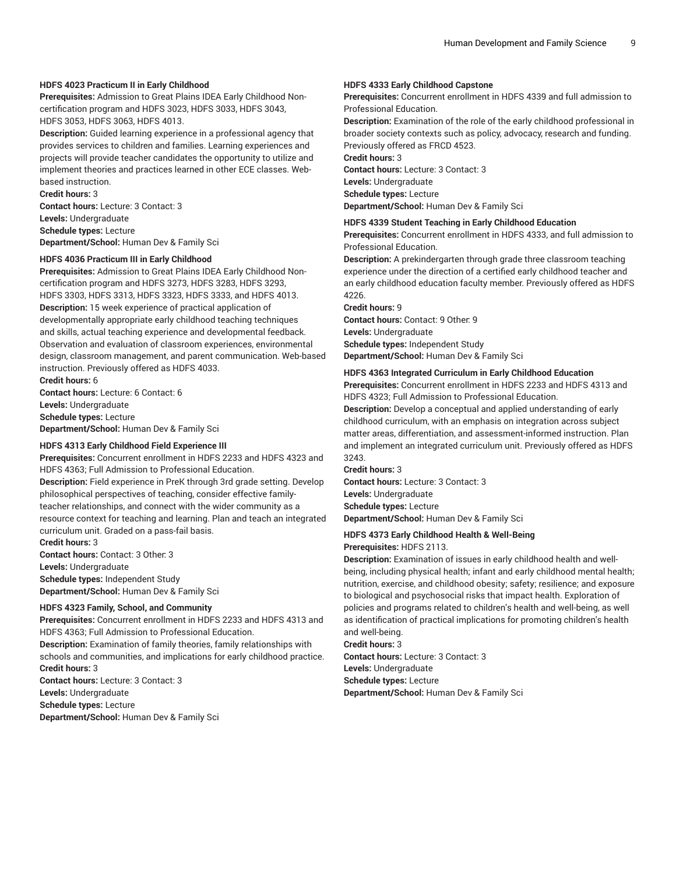### **HDFS 4023 Practicum II in Early Childhood**

**Prerequisites:** Admission to Great Plains IDEA Early Childhood Noncertification program and HDFS 3023, HDFS 3033, HDFS 3043, HDFS 3053, HDFS 3063, HDFS 4013.

**Description:** Guided learning experience in a professional agency that provides services to children and families. Learning experiences and projects will provide teacher candidates the opportunity to utilize and implement theories and practices learned in other ECE classes. Webbased instruction.

**Credit hours:** 3 **Contact hours:** Lecture: 3 Contact: 3

**Levels:** Undergraduate **Schedule types:** Lecture **Department/School:** Human Dev & Family Sci

#### **HDFS 4036 Practicum III in Early Childhood**

**Prerequisites:** Admission to Great Plains IDEA Early Childhood Noncertification program and HDFS 3273, HDFS 3283, HDFS 3293, HDFS 3303, HDFS 3313, HDFS 3323, HDFS 3333, and HDFS 4013. **Description:** 15 week experience of practical application of developmentally appropriate early childhood teaching techniques and skills, actual teaching experience and developmental feedback. Observation and evaluation of classroom experiences, environmental design, classroom management, and parent communication. Web-based instruction. Previously offered as HDFS 4033.

**Credit hours:** 6 **Contact hours:** Lecture: 6 Contact: 6 **Levels:** Undergraduate **Schedule types:** Lecture **Department/School:** Human Dev & Family Sci

#### **HDFS 4313 Early Childhood Field Experience III**

**Prerequisites:** Concurrent enrollment in HDFS 2233 and HDFS 4323 and HDFS 4363; Full Admission to Professional Education.

**Description:** Field experience in PreK through 3rd grade setting. Develop philosophical perspectives of teaching, consider effective familyteacher relationships, and connect with the wider community as a resource context for teaching and learning. Plan and teach an integrated curriculum unit. Graded on a pass-fail basis.

**Credit hours:** 3

**Contact hours:** Contact: 3 Other: 3 **Levels:** Undergraduate

**Schedule types:** Independent Study **Department/School:** Human Dev & Family Sci

#### **HDFS 4323 Family, School, and Community**

**Prerequisites:** Concurrent enrollment in HDFS 2233 and HDFS 4313 and HDFS 4363; Full Admission to Professional Education. **Description:** Examination of family theories, family relationships with schools and communities, and implications for early childhood practice. **Credit hours:** 3 **Contact hours:** Lecture: 3 Contact: 3 **Levels:** Undergraduate **Schedule types:** Lecture

**Department/School:** Human Dev & Family Sci

### **HDFS 4333 Early Childhood Capstone**

**Prerequisites:** Concurrent enrollment in HDFS 4339 and full admission to Professional Education.

**Description:** Examination of the role of the early childhood professional in broader society contexts such as policy, advocacy, research and funding. Previously offered as FRCD 4523.

**Credit hours:** 3

**Contact hours:** Lecture: 3 Contact: 3 **Levels:** Undergraduate **Schedule types:** Lecture **Department/School:** Human Dev & Family Sci

#### **HDFS 4339 Student Teaching in Early Childhood Education**

**Prerequisites:** Concurrent enrollment in HDFS 4333, and full admission to Professional Education.

**Description:** A prekindergarten through grade three classroom teaching experience under the direction of a certified early childhood teacher and an early childhood education faculty member. Previously offered as HDFS 4226.

**Credit hours:** 9 **Contact hours:** Contact: 9 Other: 9 **Levels:** Undergraduate **Schedule types:** Independent Study **Department/School:** Human Dev & Family Sci

#### **HDFS 4363 Integrated Curriculum in Early Childhood Education**

**Prerequisites:** Concurrent enrollment in HDFS 2233 and HDFS 4313 and HDFS 4323; Full Admission to Professional Education.

**Description:** Develop a conceptual and applied understanding of early childhood curriculum, with an emphasis on integration across subject matter areas, differentiation, and assessment-informed instruction. Plan and implement an integrated curriculum unit. Previously offered as HDFS 3243.

**Credit hours:** 3 **Contact hours:** Lecture: 3 Contact: 3 **Levels:** Undergraduate **Schedule types:** Lecture **Department/School:** Human Dev & Family Sci

#### **HDFS 4373 Early Childhood Health & Well-Being**

**Prerequisites:** HDFS 2113.

**Description:** Examination of issues in early childhood health and wellbeing, including physical health; infant and early childhood mental health; nutrition, exercise, and childhood obesity; safety; resilience; and exposure to biological and psychosocial risks that impact health. Exploration of policies and programs related to children's health and well-being, as well as identification of practical implications for promoting children's health and well-being.

**Credit hours:** 3 **Contact hours:** Lecture: 3 Contact: 3 **Levels:** Undergraduate **Schedule types:** Lecture **Department/School:** Human Dev & Family Sci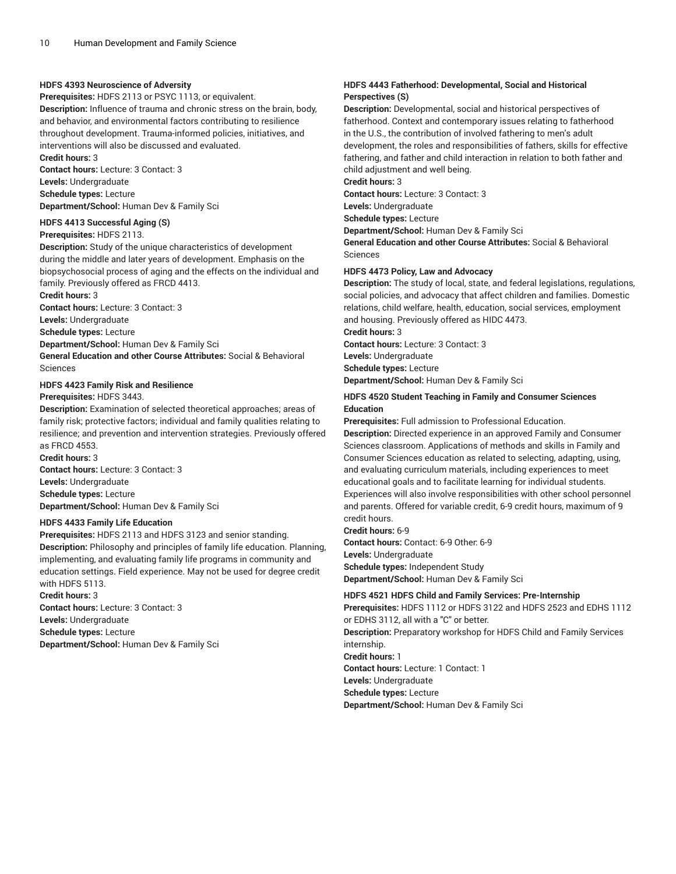### **HDFS 4393 Neuroscience of Adversity**

**Prerequisites:** HDFS 2113 or PSYC 1113, or equivalent.

**Description:** Influence of trauma and chronic stress on the brain, body, and behavior, and environmental factors contributing to resilience throughout development. Trauma-informed policies, initiatives, and interventions will also be discussed and evaluated. **Credit hours:** 3

**Contact hours:** Lecture: 3 Contact: 3 **Levels:** Undergraduate **Schedule types:** Lecture **Department/School:** Human Dev & Family Sci

#### **HDFS 4413 Successful Aging (S)**

#### **Prerequisites:** HDFS 2113.

**Description:** Study of the unique characteristics of development during the middle and later years of development. Emphasis on the biopsychosocial process of aging and the effects on the individual and family. Previously offered as FRCD 4413.

**Credit hours:** 3

**Contact hours:** Lecture: 3 Contact: 3

**Levels:** Undergraduate

**Schedule types:** Lecture

**Department/School:** Human Dev & Family Sci

**General Education and other Course Attributes:** Social & Behavioral Sciences

### **HDFS 4423 Family Risk and Resilience**

#### **Prerequisites:** HDFS 3443.

**Description:** Examination of selected theoretical approaches; areas of family risk; protective factors; individual and family qualities relating to resilience; and prevention and intervention strategies. Previously offered as FRCD 4553.

**Credit hours:** 3 **Contact hours:** Lecture: 3 Contact: 3 **Levels:** Undergraduate **Schedule types:** Lecture **Department/School:** Human Dev & Family Sci

### **HDFS 4433 Family Life Education**

**Prerequisites:** HDFS 2113 and HDFS 3123 and senior standing. **Description:** Philosophy and principles of family life education. Planning, implementing, and evaluating family life programs in community and education settings. Field experience. May not be used for degree credit with HDFS 5113.

**Credit hours:** 3

**Contact hours:** Lecture: 3 Contact: 3 **Levels:** Undergraduate

**Schedule types:** Lecture

**Department/School:** Human Dev & Family Sci

### **HDFS 4443 Fatherhood: Developmental, Social and Historical Perspectives (S)**

**Description:** Developmental, social and historical perspectives of fatherhood. Context and contemporary issues relating to fatherhood in the U.S., the contribution of involved fathering to men's adult development, the roles and responsibilities of fathers, skills for effective fathering, and father and child interaction in relation to both father and child adjustment and well being.

**Credit hours:** 3

**Contact hours:** Lecture: 3 Contact: 3

**Levels:** Undergraduate

**Schedule types:** Lecture

**Department/School:** Human Dev & Family Sci

**General Education and other Course Attributes:** Social & Behavioral Sciences

### **HDFS 4473 Policy, Law and Advocacy**

**Description:** The study of local, state, and federal legislations, regulations, social policies, and advocacy that affect children and families. Domestic relations, child welfare, health, education, social services, employment and housing. Previously offered as HIDC 4473.

**Credit hours:** 3

**Contact hours:** Lecture: 3 Contact: 3 **Levels:** Undergraduate

**Schedule types:** Lecture

**Department/School:** Human Dev & Family Sci

### **HDFS 4520 Student Teaching in Family and Consumer Sciences Education**

**Prerequisites:** Full admission to Professional Education.

**Description:** Directed experience in an approved Family and Consumer Sciences classroom. Applications of methods and skills in Family and Consumer Sciences education as related to selecting, adapting, using, and evaluating curriculum materials, including experiences to meet educational goals and to facilitate learning for individual students. Experiences will also involve responsibilities with other school personnel and parents. Offered for variable credit, 6-9 credit hours, maximum of 9 credit hours.

**Credit hours:** 6-9

**Contact hours:** Contact: 6-9 Other: 6-9 **Levels:** Undergraduate **Schedule types:** Independent Study **Department/School:** Human Dev & Family Sci

### **HDFS 4521 HDFS Child and Family Services: Pre-Internship**

**Prerequisites:** HDFS 1112 or HDFS 3122 and HDFS 2523 and EDHS 1112 or EDHS 3112, all with a "C" or better. **Description:** Preparatory workshop for HDFS Child and Family Services internship. **Credit hours:** 1 **Contact hours:** Lecture: 1 Contact: 1 **Levels:** Undergraduate **Schedule types:** Lecture **Department/School:** Human Dev & Family Sci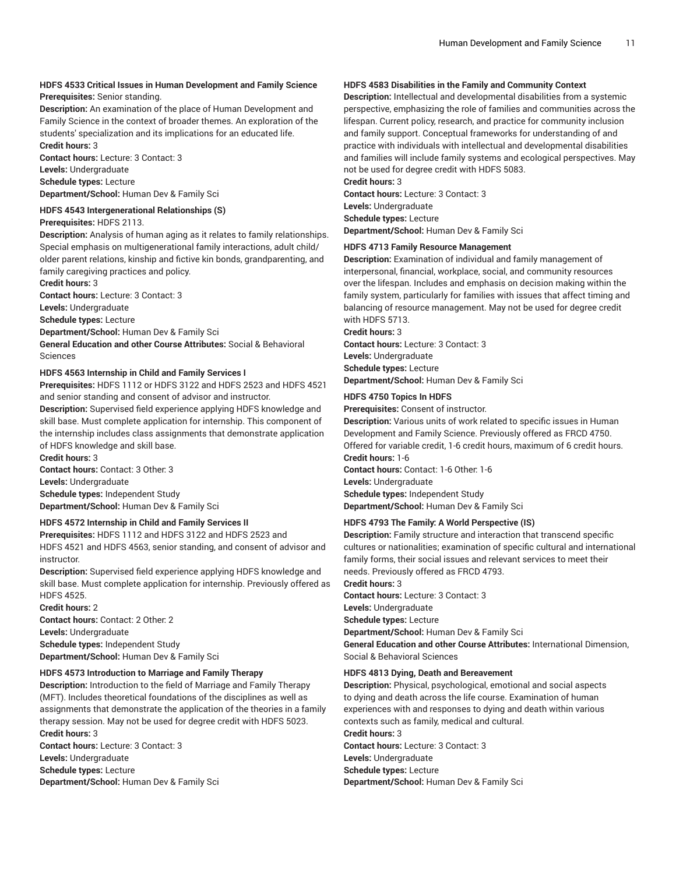### **HDFS 4533 Critical Issues in Human Development and Family Science Prerequisites:** Senior standing.

**Description:** An examination of the place of Human Development and Family Science in the context of broader themes. An exploration of the students' specialization and its implications for an educated life. **Credit hours:** 3

**Contact hours:** Lecture: 3 Contact: 3

**Levels:** Undergraduate **Schedule types:** Lecture **Department/School:** Human Dev & Family Sci

#### **HDFS 4543 Intergenerational Relationships (S)**

**Prerequisites:** HDFS 2113.

**Description:** Analysis of human aging as it relates to family relationships. Special emphasis on multigenerational family interactions, adult child/ older parent relations, kinship and fictive kin bonds, grandparenting, and family caregiving practices and policy.

**Credit hours:** 3

**Contact hours:** Lecture: 3 Contact: 3

**Levels:** Undergraduate

**Schedule types:** Lecture

**Department/School:** Human Dev & Family Sci

**General Education and other Course Attributes:** Social & Behavioral Sciences

### **HDFS 4563 Internship in Child and Family Services I**

**Prerequisites:** HDFS 1112 or HDFS 3122 and HDFS 2523 and HDFS 4521 and senior standing and consent of advisor and instructor.

**Description:** Supervised field experience applying HDFS knowledge and skill base. Must complete application for internship. This component of the internship includes class assignments that demonstrate application of HDFS knowledge and skill base.

**Credit hours:** 3 **Contact hours:** Contact: 3 Other: 3 **Levels:** Undergraduate **Schedule types:** Independent Study **Department/School:** Human Dev & Family Sci

### **HDFS 4572 Internship in Child and Family Services II**

**Prerequisites:** HDFS 1112 and HDFS 3122 and HDFS 2523 and HDFS 4521 and HDFS 4563, senior standing, and consent of advisor and instructor.

**Description:** Supervised field experience applying HDFS knowledge and skill base. Must complete application for internship. Previously offered as HDFS 4525.

**Credit hours:** 2 **Contact hours:** Contact: 2 Other: 2 **Levels:** Undergraduate **Schedule types:** Independent Study **Department/School:** Human Dev & Family Sci

### **HDFS 4573 Introduction to Marriage and Family Therapy**

**Description:** Introduction to the field of Marriage and Family Therapy (MFT). Includes theoretical foundations of the disciplines as well as assignments that demonstrate the application of the theories in a family therapy session. May not be used for degree credit with HDFS 5023. **Credit hours:** 3

**Contact hours:** Lecture: 3 Contact: 3 **Levels:** Undergraduate **Schedule types:** Lecture **Department/School:** Human Dev & Family Sci

### **HDFS 4583 Disabilities in the Family and Community Context**

**Description:** Intellectual and developmental disabilities from a systemic perspective, emphasizing the role of families and communities across the lifespan. Current policy, research, and practice for community inclusion and family support. Conceptual frameworks for understanding of and practice with individuals with intellectual and developmental disabilities and families will include family systems and ecological perspectives. May not be used for degree credit with HDFS 5083.

**Credit hours:** 3 **Contact hours:** Lecture: 3 Contact: 3 **Levels:** Undergraduate **Schedule types:** Lecture **Department/School:** Human Dev & Family Sci

#### **HDFS 4713 Family Resource Management**

**Description:** Examination of individual and family management of interpersonal, financial, workplace, social, and community resources over the lifespan. Includes and emphasis on decision making within the family system, particularly for families with issues that affect timing and balancing of resource management. May not be used for degree credit with HDFS 5713.

**Credit hours:** 3 **Contact hours:** Lecture: 3 Contact: 3 **Levels:** Undergraduate **Schedule types:** Lecture **Department/School:** Human Dev & Family Sci

### **HDFS 4750 Topics In HDFS**

**Prerequisites:** Consent of instructor.

**Description:** Various units of work related to specific issues in Human Development and Family Science. Previously offered as FRCD 4750. Offered for variable credit, 1-6 credit hours, maximum of 6 credit hours. **Credit hours:** 1-6

**Contact hours:** Contact: 1-6 Other: 1-6 **Levels:** Undergraduate **Schedule types:** Independent Study **Department/School:** Human Dev & Family Sci

### **HDFS 4793 The Family: A World Perspective (IS)**

**Description:** Family structure and interaction that transcend specific cultures or nationalities; examination of specific cultural and international family forms, their social issues and relevant services to meet their needs. Previously offered as FRCD 4793. **Credit hours:** 3

**Contact hours:** Lecture: 3 Contact: 3 **Levels:** Undergraduate **Schedule types:** Lecture **Department/School:** Human Dev & Family Sci **General Education and other Course Attributes:** International Dimension, Social & Behavioral Sciences

### **HDFS 4813 Dying, Death and Bereavement**

**Description:** Physical, psychological, emotional and social aspects to dying and death across the life course. Examination of human experiences with and responses to dying and death within various contexts such as family, medical and cultural. **Credit hours:** 3 **Contact hours:** Lecture: 3 Contact: 3 **Levels:** Undergraduate **Schedule types:** Lecture **Department/School:** Human Dev & Family Sci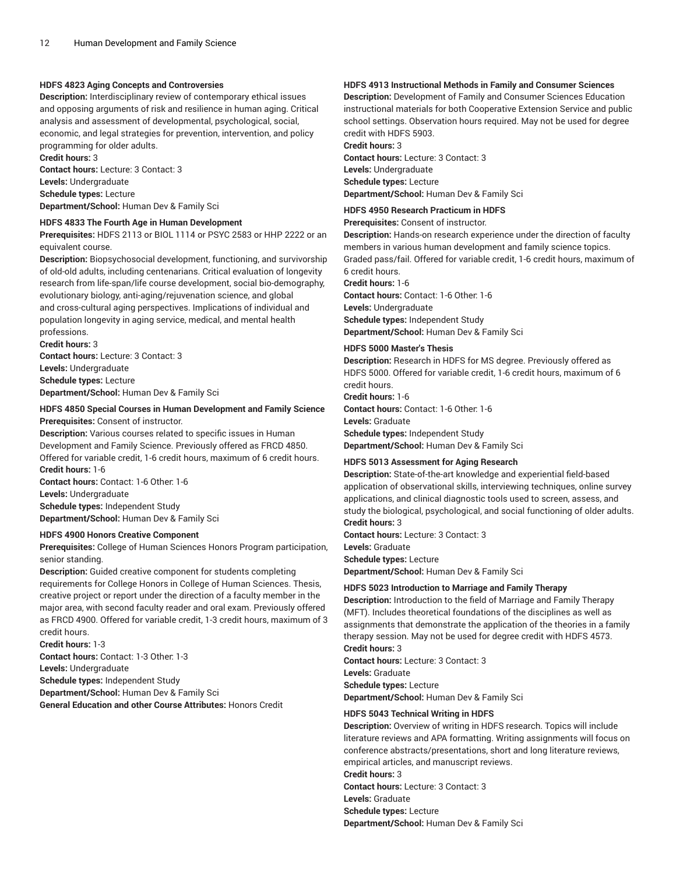### **HDFS 4823 Aging Concepts and Controversies**

**Description:** Interdisciplinary review of contemporary ethical issues and opposing arguments of risk and resilience in human aging. Critical analysis and assessment of developmental, psychological, social, economic, and legal strategies for prevention, intervention, and policy programming for older adults. **Credit hours:** 3

**Contact hours:** Lecture: 3 Contact: 3 **Levels:** Undergraduate **Schedule types:** Lecture **Department/School:** Human Dev & Family Sci

### **HDFS 4833 The Fourth Age in Human Development**

**Prerequisites:** HDFS 2113 or BIOL 1114 or PSYC 2583 or HHP 2222 or an equivalent course.

**Description:** Biopsychosocial development, functioning, and survivorship of old-old adults, including centenarians. Critical evaluation of longevity research from life-span/life course development, social bio-demography, evolutionary biology, anti-aging/rejuvenation science, and global and cross-cultural aging perspectives. Implications of individual and population longevity in aging service, medical, and mental health professions.

**Credit hours:** 3 **Contact hours:** Lecture: 3 Contact: 3 **Levels:** Undergraduate **Schedule types:** Lecture **Department/School:** Human Dev & Family Sci

### **HDFS 4850 Special Courses in Human Development and Family Science Prerequisites:** Consent of instructor.

**Description:** Various courses related to specific issues in Human Development and Family Science. Previously offered as FRCD 4850. Offered for variable credit, 1-6 credit hours, maximum of 6 credit hours. **Credit hours:** 1-6 **Contact hours:** Contact: 1-6 Other: 1-6

**Levels:** Undergraduate

**Schedule types:** Independent Study **Department/School:** Human Dev & Family Sci

### **HDFS 4900 Honors Creative Component**

**Prerequisites:** College of Human Sciences Honors Program participation, senior standing.

**Description:** Guided creative component for students completing requirements for College Honors in College of Human Sciences. Thesis, creative project or report under the direction of a faculty member in the major area, with second faculty reader and oral exam. Previously offered as FRCD 4900. Offered for variable credit, 1-3 credit hours, maximum of 3 credit hours.

**Credit hours:** 1-3 **Contact hours:** Contact: 1-3 Other: 1-3 **Levels:** Undergraduate **Schedule types:** Independent Study **Department/School:** Human Dev & Family Sci **General Education and other Course Attributes:** Honors Credit

### **HDFS 4913 Instructional Methods in Family and Consumer Sciences**

**Description:** Development of Family and Consumer Sciences Education instructional materials for both Cooperative Extension Service and public school settings. Observation hours required. May not be used for degree credit with HDFS 5903.

**Credit hours:** 3 **Contact hours:** Lecture: 3 Contact: 3 **Levels:** Undergraduate **Schedule types:** Lecture **Department/School:** Human Dev & Family Sci

### **HDFS 4950 Research Practicum in HDFS**

**Prerequisites:** Consent of instructor.

**Description:** Hands-on research experience under the direction of faculty members in various human development and family science topics.

Graded pass/fail. Offered for variable credit, 1-6 credit hours, maximum of 6 credit hours.

**Credit hours:** 1-6 **Contact hours:** Contact: 1-6 Other: 1-6 **Levels:** Undergraduate **Schedule types:** Independent Study

**Department/School:** Human Dev & Family Sci

### **HDFS 5000 Master's Thesis**

**Description:** Research in HDFS for MS degree. Previously offered as HDFS 5000. Offered for variable credit, 1-6 credit hours, maximum of 6 credit hours.

**Credit hours:** 1-6

**Contact hours:** Contact: 1-6 Other: 1-6

**Levels:** Graduate

**Schedule types:** Independent Study

**Department/School:** Human Dev & Family Sci

### **HDFS 5013 Assessment for Aging Research**

**Description:** State-of-the-art knowledge and experiential field-based application of observational skills, interviewing techniques, online survey applications, and clinical diagnostic tools used to screen, assess, and study the biological, psychological, and social functioning of older adults. **Credit hours:** 3

**Contact hours:** Lecture: 3 Contact: 3 **Levels:** Graduate **Schedule types:** Lecture

**Department/School:** Human Dev & Family Sci

### **HDFS 5023 Introduction to Marriage and Family Therapy**

**Description:** Introduction to the field of Marriage and Family Therapy (MFT). Includes theoretical foundations of the disciplines as well as assignments that demonstrate the application of the theories in a family therapy session. May not be used for degree credit with HDFS 4573. **Credit hours:** 3

**Contact hours:** Lecture: 3 Contact: 3 **Levels:** Graduate **Schedule types:** Lecture

**Department/School:** Human Dev & Family Sci

### **HDFS 5043 Technical Writing in HDFS**

**Description:** Overview of writing in HDFS research. Topics will include literature reviews and APA formatting. Writing assignments will focus on conference abstracts/presentations, short and long literature reviews, empirical articles, and manuscript reviews.

**Credit hours:** 3 **Contact hours:** Lecture: 3 Contact: 3

**Levels:** Graduate **Schedule types:** Lecture **Department/School:** Human Dev & Family Sci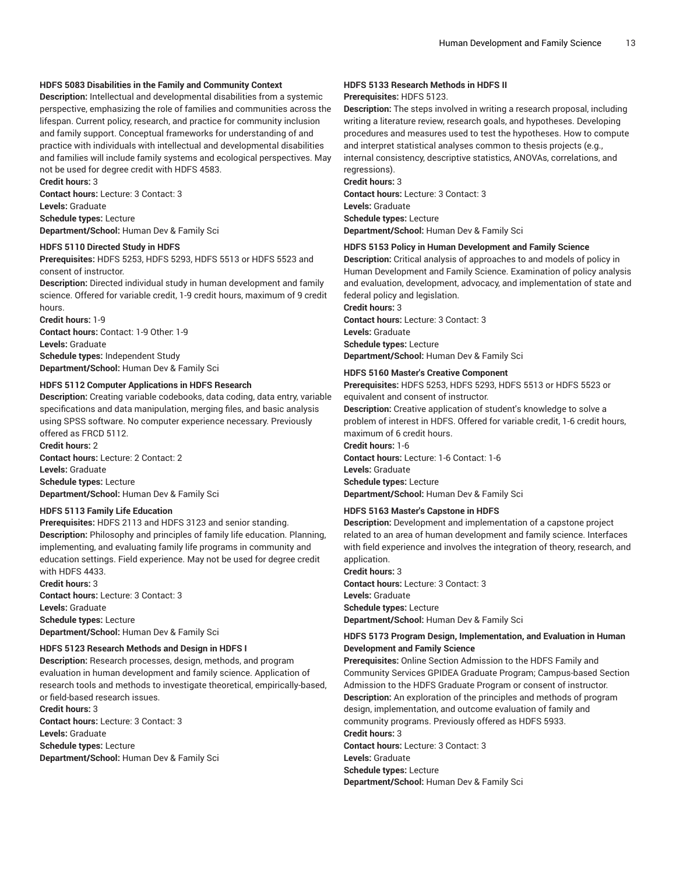### **HDFS 5083 Disabilities in the Family and Community Context**

**Description:** Intellectual and developmental disabilities from a systemic perspective, emphasizing the role of families and communities across the lifespan. Current policy, research, and practice for community inclusion and family support. Conceptual frameworks for understanding of and practice with individuals with intellectual and developmental disabilities and families will include family systems and ecological perspectives. May not be used for degree credit with HDFS 4583.

**Credit hours:** 3

**Contact hours:** Lecture: 3 Contact: 3 **Levels:** Graduate **Schedule types:** Lecture

**Department/School:** Human Dev & Family Sci

### **HDFS 5110 Directed Study in HDFS**

**Prerequisites:** HDFS 5253, HDFS 5293, HDFS 5513 or HDFS 5523 and consent of instructor.

**Description:** Directed individual study in human development and family science. Offered for variable credit, 1-9 credit hours, maximum of 9 credit hours.

**Credit hours:** 1-9 **Contact hours:** Contact: 1-9 Other: 1-9 **Levels:** Graduate **Schedule types:** Independent Study **Department/School:** Human Dev & Family Sci

### **HDFS 5112 Computer Applications in HDFS Research**

**Description:** Creating variable codebooks, data coding, data entry, variable specifications and data manipulation, merging files, and basic analysis using SPSS software. No computer experience necessary. Previously offered as FRCD 5112. **Credit hours:** 2

**Contact hours:** Lecture: 2 Contact: 2 **Levels:** Graduate **Schedule types:** Lecture **Department/School:** Human Dev & Family Sci

### **HDFS 5113 Family Life Education**

**Prerequisites:** HDFS 2113 and HDFS 3123 and senior standing. **Description:** Philosophy and principles of family life education. Planning, implementing, and evaluating family life programs in community and education settings. Field experience. May not be used for degree credit with HDFS 4433.

**Credit hours:** 3 **Contact hours:** Lecture: 3 Contact: 3 **Levels:** Graduate **Schedule types:** Lecture **Department/School:** Human Dev & Family Sci

### **HDFS 5123 Research Methods and Design in HDFS I**

**Description:** Research processes, design, methods, and program evaluation in human development and family science. Application of research tools and methods to investigate theoretical, empirically-based, or field-based research issues.

**Credit hours:** 3

**Contact hours:** Lecture: 3 Contact: 3 **Levels:** Graduate **Schedule types:** Lecture **Department/School:** Human Dev & Family Sci

## **HDFS 5133 Research Methods in HDFS II**

### **Prerequisites:** HDFS 5123.

**Description:** The steps involved in writing a research proposal, including writing a literature review, research goals, and hypotheses. Developing procedures and measures used to test the hypotheses. How to compute and interpret statistical analyses common to thesis projects (e.g., internal consistency, descriptive statistics, ANOVAs, correlations, and regressions).

**Credit hours:** 3 **Contact hours:** Lecture: 3 Contact: 3 **Levels:** Graduate **Schedule types:** Lecture **Department/School:** Human Dev & Family Sci

### **HDFS 5153 Policy in Human Development and Family Science**

**Description:** Critical analysis of approaches to and models of policy in Human Development and Family Science. Examination of policy analysis and evaluation, development, advocacy, and implementation of state and federal policy and legislation.

**Credit hours:** 3 **Contact hours:** Lecture: 3 Contact: 3 **Levels:** Graduate **Schedule types:** Lecture **Department/School:** Human Dev & Family Sci

### **HDFS 5160 Master's Creative Component**

**Prerequisites:** HDFS 5253, HDFS 5293, HDFS 5513 or HDFS 5523 or equivalent and consent of instructor. **Description:** Creative application of student's knowledge to solve a

problem of interest in HDFS. Offered for variable credit, 1-6 credit hours, maximum of 6 credit hours.

**Credit hours:** 1-6 **Contact hours:** Lecture: 1-6 Contact: 1-6 **Levels:** Graduate **Schedule types:** Lecture **Department/School:** Human Dev & Family Sci

### **HDFS 5163 Master's Capstone in HDFS**

**Description:** Development and implementation of a capstone project related to an area of human development and family science. Interfaces with field experience and involves the integration of theory, research, and application.

**Credit hours:** 3 **Contact hours:** Lecture: 3 Contact: 3 **Levels:** Graduate **Schedule types:** Lecture **Department/School:** Human Dev & Family Sci

### **HDFS 5173 Program Design, Implementation, and Evaluation in Human Development and Family Science**

**Prerequisites:** Online Section Admission to the HDFS Family and Community Services GPIDEA Graduate Program; Campus-based Section Admission to the HDFS Graduate Program or consent of instructor. **Description:** An exploration of the principles and methods of program design, implementation, and outcome evaluation of family and community programs. Previously offered as HDFS 5933. **Credit hours:** 3 **Contact hours:** Lecture: 3 Contact: 3 **Levels:** Graduate **Schedule types:** Lecture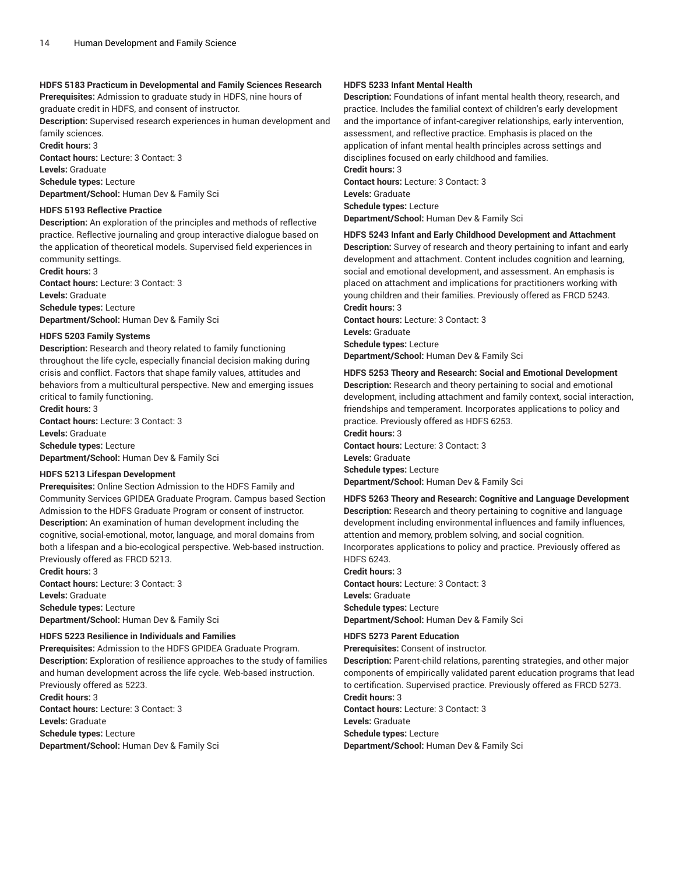### **HDFS 5183 Practicum in Developmental and Family Sciences Research**

**Prerequisites:** Admission to graduate study in HDFS, nine hours of graduate credit in HDFS, and consent of instructor.

**Description:** Supervised research experiences in human development and family sciences.

**Credit hours:** 3 **Contact hours:** Lecture: 3 Contact: 3 **Levels:** Graduate **Schedule types:** Lecture

**Department/School:** Human Dev & Family Sci

### **HDFS 5193 Reflective Practice**

**Description:** An exploration of the principles and methods of reflective practice. Reflective journaling and group interactive dialogue based on the application of theoretical models. Supervised field experiences in community settings.

**Credit hours:** 3

**Contact hours:** Lecture: 3 Contact: 3 **Levels:** Graduate **Schedule types:** Lecture **Department/School:** Human Dev & Family Sci

### **HDFS 5203 Family Systems**

**Description:** Research and theory related to family functioning throughout the life cycle, especially financial decision making during crisis and conflict. Factors that shape family values, attitudes and behaviors from a multicultural perspective. New and emerging issues critical to family functioning.

**Credit hours:** 3 **Contact hours:** Lecture: 3 Contact: 3 **Levels:** Graduate **Schedule types:** Lecture **Department/School:** Human Dev & Family Sci

### **HDFS 5213 Lifespan Development**

**Prerequisites:** Online Section Admission to the HDFS Family and Community Services GPIDEA Graduate Program. Campus based Section Admission to the HDFS Graduate Program or consent of instructor. **Description:** An examination of human development including the cognitive, social-emotional, motor, language, and moral domains from both a lifespan and a bio-ecological perspective. Web-based instruction. Previously offered as FRCD 5213.

**Credit hours:** 3 **Contact hours:** Lecture: 3 Contact: 3 **Levels:** Graduate **Schedule types:** Lecture **Department/School:** Human Dev & Family Sci

#### **HDFS 5223 Resilience in Individuals and Families**

**Prerequisites:** Admission to the HDFS GPIDEA Graduate Program. **Description:** Exploration of resilience approaches to the study of families and human development across the life cycle. Web-based instruction. Previously offered as 5223. **Credit hours:** 3

**Contact hours:** Lecture: 3 Contact: 3 **Levels:** Graduate **Schedule types:** Lecture **Department/School:** Human Dev & Family Sci

### **HDFS 5233 Infant Mental Health**

**Description:** Foundations of infant mental health theory, research, and practice. Includes the familial context of children's early development and the importance of infant-caregiver relationships, early intervention, assessment, and reflective practice. Emphasis is placed on the application of infant mental health principles across settings and disciplines focused on early childhood and families.

**Credit hours:** 3

**Contact hours:** Lecture: 3 Contact: 3 **Levels:** Graduate **Schedule types:** Lecture **Department/School:** Human Dev & Family Sci

#### **HDFS 5243 Infant and Early Childhood Development and Attachment**

**Description:** Survey of research and theory pertaining to infant and early development and attachment. Content includes cognition and learning, social and emotional development, and assessment. An emphasis is placed on attachment and implications for practitioners working with young children and their families. Previously offered as FRCD 5243. **Credit hours:** 3

**Contact hours:** Lecture: 3 Contact: 3 **Levels:** Graduate **Schedule types:** Lecture **Department/School:** Human Dev & Family Sci

#### **HDFS 5253 Theory and Research: Social and Emotional Development**

**Description:** Research and theory pertaining to social and emotional development, including attachment and family context, social interaction, friendships and temperament. Incorporates applications to policy and practice. Previously offered as HDFS 6253.

**Credit hours:** 3 **Contact hours:** Lecture: 3 Contact: 3 **Levels:** Graduate **Schedule types:** Lecture **Department/School:** Human Dev & Family Sci

### **HDFS 5263 Theory and Research: Cognitive and Language Development**

**Description:** Research and theory pertaining to cognitive and language development including environmental influences and family influences, attention and memory, problem solving, and social cognition. Incorporates applications to policy and practice. Previously offered as

HDFS 6243.

**Credit hours:** 3 **Contact hours:** Lecture: 3 Contact: 3 **Levels:** Graduate **Schedule types:** Lecture **Department/School:** Human Dev & Family Sci

## **HDFS 5273 Parent Education**

**Prerequisites:** Consent of instructor.

**Description:** Parent-child relations, parenting strategies, and other major components of empirically validated parent education programs that lead to certification. Supervised practice. Previously offered as FRCD 5273. **Credit hours:** 3

**Contact hours:** Lecture: 3 Contact: 3 **Levels:** Graduate **Schedule types:** Lecture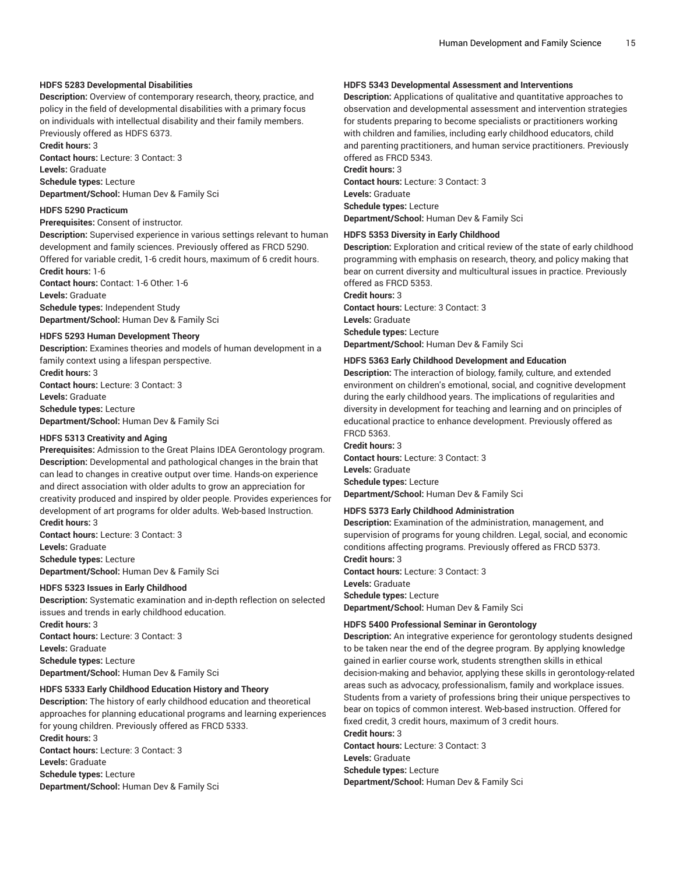### **HDFS 5283 Developmental Disabilities**

**Description:** Overview of contemporary research, theory, practice, and policy in the field of developmental disabilities with a primary focus on individuals with intellectual disability and their family members. Previously offered as HDFS 6373.

**Credit hours:** 3

**Contact hours:** Lecture: 3 Contact: 3 **Levels:** Graduate **Schedule types:** Lecture

**Department/School:** Human Dev & Family Sci

### **HDFS 5290 Practicum**

### **Prerequisites:** Consent of instructor.

**Description:** Supervised experience in various settings relevant to human development and family sciences. Previously offered as FRCD 5290. Offered for variable credit, 1-6 credit hours, maximum of 6 credit hours.

**Credit hours:** 1-6

**Contact hours:** Contact: 1-6 Other: 1-6 **Levels:** Graduate

**Schedule types:** Independent Study **Department/School:** Human Dev & Family Sci

### **HDFS 5293 Human Development Theory**

**Description:** Examines theories and models of human development in a family context using a lifespan perspective. **Credit hours:** 3

**Contact hours:** Lecture: 3 Contact: 3 **Levels:** Graduate **Schedule types:** Lecture **Department/School:** Human Dev & Family Sci

**HDFS 5313 Creativity and Aging**

**Prerequisites:** Admission to the Great Plains IDEA Gerontology program. **Description:** Developmental and pathological changes in the brain that can lead to changes in creative output over time. Hands-on experience and direct association with older adults to grow an appreciation for creativity produced and inspired by older people. Provides experiences for development of art programs for older adults. Web-based Instruction. **Credit hours:** 3

**Contact hours:** Lecture: 3 Contact: 3 **Levels:** Graduate **Schedule types:** Lecture **Department/School:** Human Dev & Family Sci

### **HDFS 5323 Issues in Early Childhood**

**Description:** Systematic examination and in-depth reflection on selected issues and trends in early childhood education. **Credit hours:** 3 **Contact hours:** Lecture: 3 Contact: 3 **Levels:** Graduate **Schedule types:** Lecture

**Department/School:** Human Dev & Family Sci

### **HDFS 5333 Early Childhood Education History and Theory**

**Description:** The history of early childhood education and theoretical approaches for planning educational programs and learning experiences for young children. Previously offered as FRCD 5333. **Credit hours:** 3 **Contact hours:** Lecture: 3 Contact: 3 **Levels:** Graduate **Schedule types:** Lecture **Department/School:** Human Dev & Family Sci

### **HDFS 5343 Developmental Assessment and Interventions**

**Description:** Applications of qualitative and quantitative approaches to observation and developmental assessment and intervention strategies for students preparing to become specialists or practitioners working with children and families, including early childhood educators, child and parenting practitioners, and human service practitioners. Previously offered as FRCD 5343.

### **Credit hours:** 3

**Contact hours:** Lecture: 3 Contact: 3 **Levels:** Graduate **Schedule types:** Lecture **Department/School:** Human Dev & Family Sci

### **HDFS 5353 Diversity in Early Childhood**

**Description:** Exploration and critical review of the state of early childhood programming with emphasis on research, theory, and policy making that bear on current diversity and multicultural issues in practice. Previously offered as FRCD 5353.

**Credit hours:** 3 **Contact hours:** Lecture: 3 Contact: 3 **Levels:** Graduate **Schedule types:** Lecture **Department/School:** Human Dev & Family Sci

### **HDFS 5363 Early Childhood Development and Education**

**Description:** The interaction of biology, family, culture, and extended environment on children's emotional, social, and cognitive development during the early childhood years. The implications of regularities and diversity in development for teaching and learning and on principles of educational practice to enhance development. Previously offered as FRCD 5363.

**Credit hours:** 3 **Contact hours:** Lecture: 3 Contact: 3 **Levels:** Graduate **Schedule types:** Lecture **Department/School:** Human Dev & Family Sci

### **HDFS 5373 Early Childhood Administration**

**Description:** Examination of the administration, management, and supervision of programs for young children. Legal, social, and economic conditions affecting programs. Previously offered as FRCD 5373. **Credit hours:** 3

**Contact hours:** Lecture: 3 Contact: 3 **Levels:** Graduate **Schedule types:** Lecture **Department/School:** Human Dev & Family Sci

### **HDFS 5400 Professional Seminar in Gerontology**

**Description:** An integrative experience for gerontology students designed to be taken near the end of the degree program. By applying knowledge gained in earlier course work, students strengthen skills in ethical decision-making and behavior, applying these skills in gerontology-related areas such as advocacy, professionalism, family and workplace issues. Students from a variety of professions bring their unique perspectives to bear on topics of common interest. Web-based instruction. Offered for fixed credit, 3 credit hours, maximum of 3 credit hours. **Credit hours:** 3 **Contact hours:** Lecture: 3 Contact: 3

**Levels:** Graduate **Schedule types:** Lecture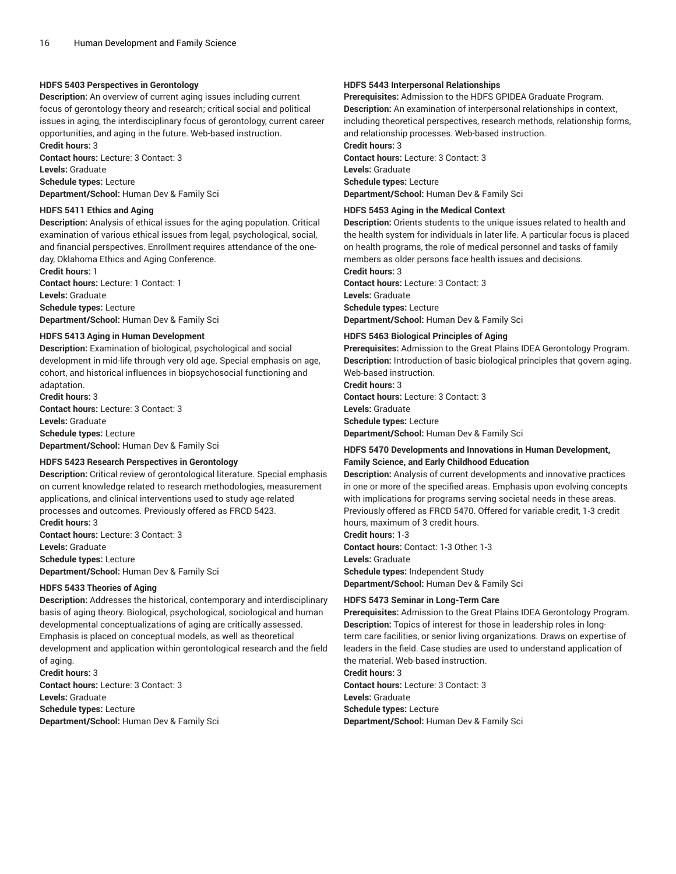### **HDFS 5403 Perspectives in Gerontology**

**Description:** An overview of current aging issues including current focus of gerontology theory and research; critical social and political issues in aging, the interdisciplinary focus of gerontology, current career opportunities, and aging in the future. Web-based instruction. **Credit hours:** 3

**Contact hours:** Lecture: 3 Contact: 3

**Levels:** Graduate **Schedule types:** Lecture **Department/School:** Human Dev & Family Sci

#### **HDFS 5411 Ethics and Aging**

**Description:** Analysis of ethical issues for the aging population. Critical examination of various ethical issues from legal, psychological, social, and financial perspectives. Enrollment requires attendance of the oneday, Oklahoma Ethics and Aging Conference.

**Credit hours:** 1 **Contact hours:** Lecture: 1 Contact: 1 **Levels:** Graduate **Schedule types:** Lecture **Department/School:** Human Dev & Family Sci

#### **HDFS 5413 Aging in Human Development**

**Description:** Examination of biological, psychological and social development in mid-life through very old age. Special emphasis on age, cohort, and historical influences in biopsychosocial functioning and adaptation.

**Credit hours:** 3 **Contact hours:** Lecture: 3 Contact: 3 **Levels:** Graduate **Schedule types:** Lecture **Department/School:** Human Dev & Family Sci

### **HDFS 5423 Research Perspectives in Gerontology**

**Description:** Critical review of gerontological literature. Special emphasis on current knowledge related to research methodologies, measurement applications, and clinical interventions used to study age-related processes and outcomes. Previously offered as FRCD 5423. **Credit hours:** 3 **Contact hours:** Lecture: 3 Contact: 3

**Levels:** Graduate **Schedule types:** Lecture **Department/School:** Human Dev & Family Sci

### **HDFS 5433 Theories of Aging**

**Description:** Addresses the historical, contemporary and interdisciplinary basis of aging theory. Biological, psychological, sociological and human developmental conceptualizations of aging are critically assessed. Emphasis is placed on conceptual models, as well as theoretical development and application within gerontological research and the field of aging. **Credit hours:** 3

**Contact hours:** Lecture: 3 Contact: 3 **Levels:** Graduate **Schedule types:** Lecture **Department/School:** Human Dev & Family Sci

#### **HDFS 5443 Interpersonal Relationships**

**Prerequisites:** Admission to the HDFS GPIDEA Graduate Program. **Description:** An examination of interpersonal relationships in context, including theoretical perspectives, research methods, relationship forms, and relationship processes. Web-based instruction.

**Credit hours:** 3 **Contact hours:** Lecture: 3 Contact: 3 **Levels:** Graduate **Schedule types:** Lecture **Department/School:** Human Dev & Family Sci

### **HDFS 5453 Aging in the Medical Context**

**Description:** Orients students to the unique issues related to health and the health system for individuals in later life. A particular focus is placed on health programs, the role of medical personnel and tasks of family members as older persons face health issues and decisions.

**Credit hours:** 3 **Contact hours:** Lecture: 3 Contact: 3 **Levels:** Graduate **Schedule types:** Lecture **Department/School:** Human Dev & Family Sci

### **HDFS 5463 Biological Principles of Aging**

**Prerequisites:** Admission to the Great Plains IDEA Gerontology Program. **Description:** Introduction of basic biological principles that govern aging. Web-based instruction.

**Credit hours:** 3 **Contact hours:** Lecture: 3 Contact: 3 **Levels:** Graduate **Schedule types:** Lecture **Department/School:** Human Dev & Family Sci

### **HDFS 5470 Developments and Innovations in Human Development, Family Science, and Early Childhood Education**

**Description:** Analysis of current developments and innovative practices in one or more of the specified areas. Emphasis upon evolving concepts with implications for programs serving societal needs in these areas. Previously offered as FRCD 5470. Offered for variable credit, 1-3 credit hours, maximum of 3 credit hours.

**Credit hours:** 1-3 **Contact hours:** Contact: 1-3 Other: 1-3 **Levels:** Graduate **Schedule types:** Independent Study **Department/School:** Human Dev & Family Sci

### **HDFS 5473 Seminar in Long-Term Care**

**Prerequisites:** Admission to the Great Plains IDEA Gerontology Program. **Description:** Topics of interest for those in leadership roles in longterm care facilities, or senior living organizations. Draws on expertise of leaders in the field. Case studies are used to understand application of the material. Web-based instruction.

### **Credit hours:** 3

**Contact hours:** Lecture: 3 Contact: 3 **Levels:** Graduate **Schedule types:** Lecture **Department/School:** Human Dev & Family Sci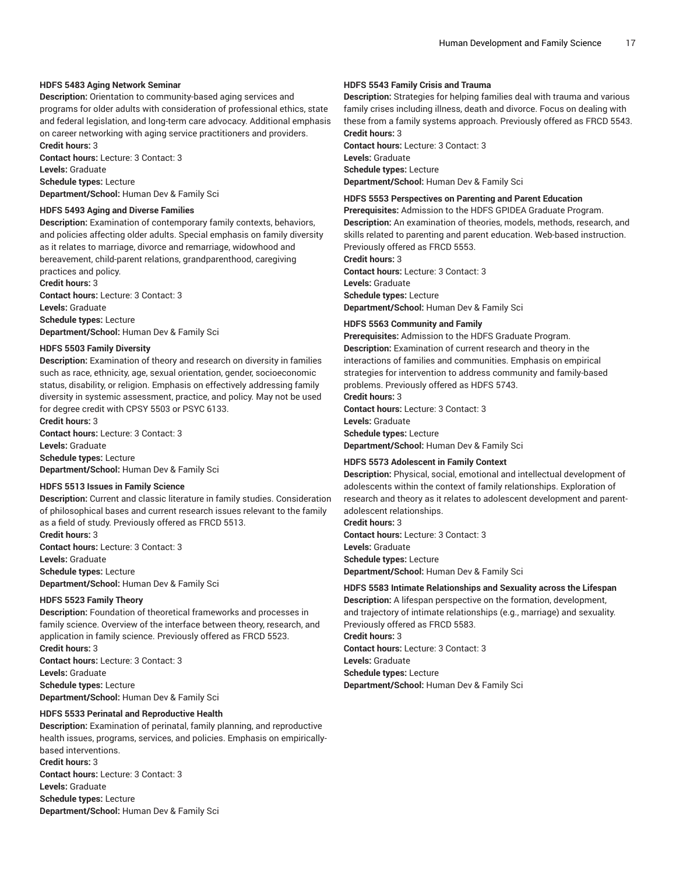#### **HDFS 5483 Aging Network Seminar**

**Description:** Orientation to community-based aging services and programs for older adults with consideration of professional ethics, state and federal legislation, and long-term care advocacy. Additional emphasis on career networking with aging service practitioners and providers. **Credit hours:** 3

**Contact hours:** Lecture: 3 Contact: 3 **Levels:** Graduate

**Schedule types:** Lecture **Department/School:** Human Dev & Family Sci

#### **HDFS 5493 Aging and Diverse Families**

**Description:** Examination of contemporary family contexts, behaviors, and policies affecting older adults. Special emphasis on family diversity as it relates to marriage, divorce and remarriage, widowhood and bereavement, child-parent relations, grandparenthood, caregiving practices and policy.

**Credit hours:** 3 **Contact hours:** Lecture: 3 Contact: 3 **Levels:** Graduate **Schedule types:** Lecture **Department/School:** Human Dev & Family Sci

### **HDFS 5503 Family Diversity**

**Description:** Examination of theory and research on diversity in families such as race, ethnicity, age, sexual orientation, gender, socioeconomic status, disability, or religion. Emphasis on effectively addressing family diversity in systemic assessment, practice, and policy. May not be used for degree credit with CPSY 5503 or PSYC 6133.

**Credit hours:** 3 **Contact hours:** Lecture: 3 Contact: 3 **Levels:** Graduate **Schedule types:** Lecture **Department/School:** Human Dev & Family Sci

### **HDFS 5513 Issues in Family Science**

**Description:** Current and classic literature in family studies. Consideration of philosophical bases and current research issues relevant to the family as a field of study. Previously offered as FRCD 5513.

**Credit hours:** 3 **Contact hours:** Lecture: 3 Contact: 3 **Levels:** Graduate **Schedule types:** Lecture **Department/School:** Human Dev & Family Sci

#### **HDFS 5523 Family Theory**

**Description:** Foundation of theoretical frameworks and processes in family science. Overview of the interface between theory, research, and application in family science. Previously offered as FRCD 5523. **Credit hours:** 3 **Contact hours:** Lecture: 3 Contact: 3

**Levels:** Graduate **Schedule types:** Lecture **Department/School:** Human Dev & Family Sci

### **HDFS 5533 Perinatal and Reproductive Health**

**Description:** Examination of perinatal, family planning, and reproductive health issues, programs, services, and policies. Emphasis on empiricallybased interventions. **Credit hours:** 3 **Contact hours:** Lecture: 3 Contact: 3 **Levels:** Graduate **Schedule types:** Lecture **Department/School:** Human Dev & Family Sci

### **HDFS 5543 Family Crisis and Trauma**

**Description:** Strategies for helping families deal with trauma and various family crises including illness, death and divorce. Focus on dealing with these from a family systems approach. Previously offered as FRCD 5543. **Credit hours:** 3

**Contact hours:** Lecture: 3 Contact: 3 **Levels:** Graduate **Schedule types:** Lecture **Department/School:** Human Dev & Family Sci

## **HDFS 5553 Perspectives on Parenting and Parent Education**

**Prerequisites:** Admission to the HDFS GPIDEA Graduate Program. **Description:** An examination of theories, models, methods, research, and skills related to parenting and parent education. Web-based instruction. Previously offered as FRCD 5553.

**Credit hours:** 3 **Contact hours:** Lecture: 3 Contact: 3 **Levels:** Graduate **Schedule types:** Lecture **Department/School:** Human Dev & Family Sci

#### **HDFS 5563 Community and Family**

**Prerequisites:** Admission to the HDFS Graduate Program. **Description:** Examination of current research and theory in the interactions of families and communities. Emphasis on empirical strategies for intervention to address community and family-based problems. Previously offered as HDFS 5743.

**Credit hours:** 3

**Contact hours:** Lecture: 3 Contact: 3 **Levels:** Graduate

**Schedule types:** Lecture

**Department/School:** Human Dev & Family Sci

### **HDFS 5573 Adolescent in Family Context**

**Description:** Physical, social, emotional and intellectual development of adolescents within the context of family relationships. Exploration of research and theory as it relates to adolescent development and parentadolescent relationships.

**Credit hours:** 3 **Contact hours:** Lecture: 3 Contact: 3 **Levels:** Graduate **Schedule types:** Lecture

**Department/School:** Human Dev & Family Sci

### **HDFS 5583 Intimate Relationships and Sexuality across the Lifespan**

**Description:** A lifespan perspective on the formation, development, and trajectory of intimate relationships (e.g., marriage) and sexuality. Previously offered as FRCD 5583. **Credit hours:** 3

**Contact hours:** Lecture: 3 Contact: 3

**Levels:** Graduate

**Schedule types:** Lecture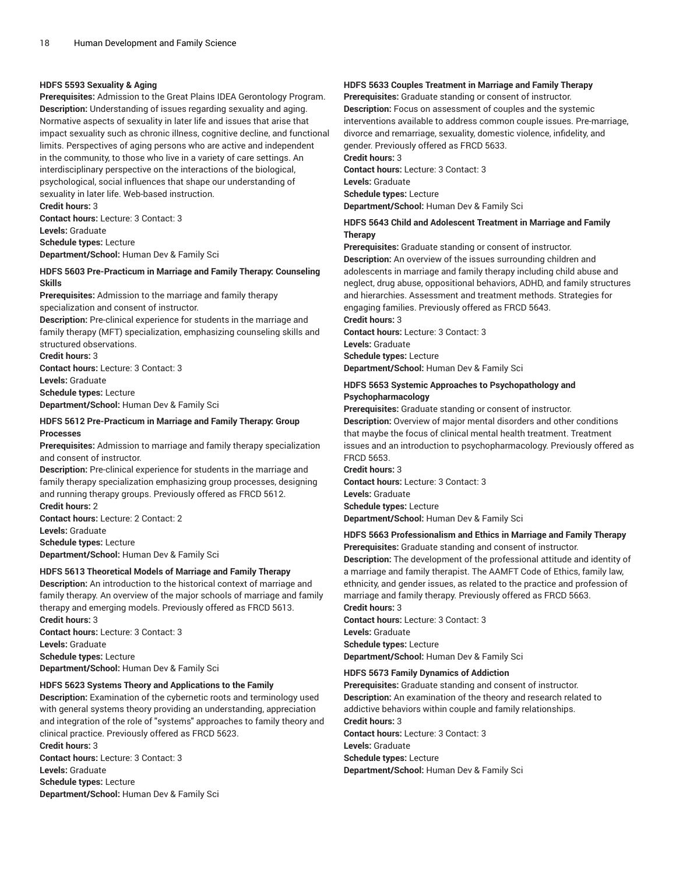### **HDFS 5593 Sexuality & Aging**

**Prerequisites:** Admission to the Great Plains IDEA Gerontology Program. **Description:** Understanding of issues regarding sexuality and aging. Normative aspects of sexuality in later life and issues that arise that impact sexuality such as chronic illness, cognitive decline, and functional limits. Perspectives of aging persons who are active and independent in the community, to those who live in a variety of care settings. An interdisciplinary perspective on the interactions of the biological, psychological, social influences that shape our understanding of sexuality in later life. Web-based instruction.

**Credit hours:** 3 **Contact hours:** Lecture: 3 Contact: 3 **Levels:** Graduate **Schedule types:** Lecture

**Department/School:** Human Dev & Family Sci

### **HDFS 5603 Pre-Practicum in Marriage and Family Therapy: Counseling Skills**

**Prerequisites:** Admission to the marriage and family therapy specialization and consent of instructor.

**Description:** Pre-clinical experience for students in the marriage and family therapy (MFT) specialization, emphasizing counseling skills and structured observations.

**Credit hours:** 3

**Contact hours:** Lecture: 3 Contact: 3

**Levels:** Graduate

**Schedule types:** Lecture

**Department/School:** Human Dev & Family Sci

### **HDFS 5612 Pre-Practicum in Marriage and Family Therapy: Group Processes**

**Prerequisites:** Admission to marriage and family therapy specialization and consent of instructor.

**Description:** Pre-clinical experience for students in the marriage and family therapy specialization emphasizing group processes, designing and running therapy groups. Previously offered as FRCD 5612.

**Credit hours:** 2 **Contact hours:** Lecture: 2 Contact: 2

**Levels:** Graduate

**Schedule types:** Lecture **Department/School:** Human Dev & Family Sci

### **HDFS 5613 Theoretical Models of Marriage and Family Therapy**

**Description:** An introduction to the historical context of marriage and family therapy. An overview of the major schools of marriage and family therapy and emerging models. Previously offered as FRCD 5613. **Credit hours:** 3

**Contact hours:** Lecture: 3 Contact: 3 **Levels:** Graduate **Schedule types:** Lecture **Department/School:** Human Dev & Family Sci

### **HDFS 5623 Systems Theory and Applications to the Family**

**Description:** Examination of the cybernetic roots and terminology used with general systems theory providing an understanding, appreciation and integration of the role of "systems" approaches to family theory and clinical practice. Previously offered as FRCD 5623.

**Credit hours:** 3 **Contact hours:** Lecture: 3 Contact: 3 **Levels:** Graduate **Schedule types:** Lecture **Department/School:** Human Dev & Family Sci

### **HDFS 5633 Couples Treatment in Marriage and Family Therapy**

**Prerequisites:** Graduate standing or consent of instructor. **Description:** Focus on assessment of couples and the systemic interventions available to address common couple issues. Pre-marriage, divorce and remarriage, sexuality, domestic violence, infidelity, and gender. Previously offered as FRCD 5633. **Credit hours:** 3

**Contact hours:** Lecture: 3 Contact: 3

**Levels:** Graduate

**Schedule types:** Lecture

**Department/School:** Human Dev & Family Sci

### **HDFS 5643 Child and Adolescent Treatment in Marriage and Family Therapy**

**Prerequisites:** Graduate standing or consent of instructor.

**Description:** An overview of the issues surrounding children and adolescents in marriage and family therapy including child abuse and neglect, drug abuse, oppositional behaviors, ADHD, and family structures and hierarchies. Assessment and treatment methods. Strategies for engaging families. Previously offered as FRCD 5643.

**Credit hours:** 3

**Contact hours:** Lecture: 3 Contact: 3

**Levels:** Graduate **Schedule types:** Lecture

**Department/School:** Human Dev & Family Sci

### **HDFS 5653 Systemic Approaches to Psychopathology and Psychopharmacology**

**Prerequisites:** Graduate standing or consent of instructor. **Description:** Overview of major mental disorders and other conditions that maybe the focus of clinical mental health treatment. Treatment issues and an introduction to psychopharmacology. Previously offered as FRCD 5653.

**Credit hours:** 3 **Contact hours:** Lecture: 3 Contact: 3 **Levels:** Graduate **Schedule types:** Lecture **Department/School:** Human Dev & Family Sci

### **HDFS 5663 Professionalism and Ethics in Marriage and Family Therapy**

**Prerequisites:** Graduate standing and consent of instructor. **Description:** The development of the professional attitude and identity of a marriage and family therapist. The AAMFT Code of Ethics, family law, ethnicity, and gender issues, as related to the practice and profession of marriage and family therapy. Previously offered as FRCD 5663. **Credit hours:** 3

**Contact hours:** Lecture: 3 Contact: 3 **Levels:** Graduate **Schedule types:** Lecture **Department/School:** Human Dev & Family Sci

### **HDFS 5673 Family Dynamics of Addiction**

**Prerequisites:** Graduate standing and consent of instructor. **Description:** An examination of the theory and research related to addictive behaviors within couple and family relationships. **Credit hours:** 3 **Contact hours:** Lecture: 3 Contact: 3 **Levels:** Graduate **Schedule types:** Lecture **Department/School:** Human Dev & Family Sci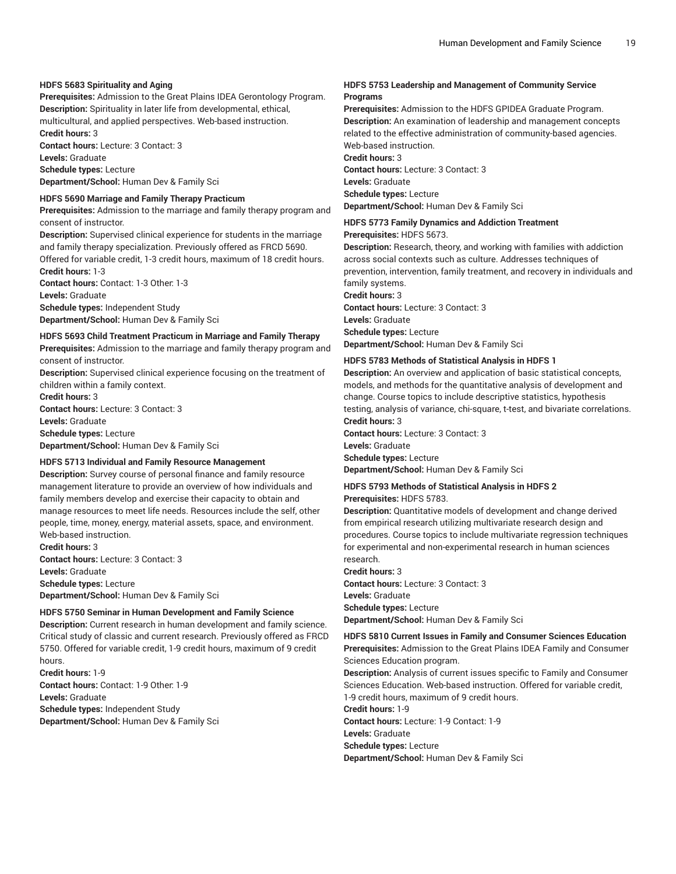### **HDFS 5683 Spirituality and Aging**

**Prerequisites:** Admission to the Great Plains IDEA Gerontology Program. **Description:** Spirituality in later life from developmental, ethical, multicultural, and applied perspectives. Web-based instruction.

**Credit hours:** 3 **Contact hours:** Lecture: 3 Contact: 3 **Levels:** Graduate **Schedule types:** Lecture

**Department/School:** Human Dev & Family Sci

#### **HDFS 5690 Marriage and Family Therapy Practicum**

**Prerequisites:** Admission to the marriage and family therapy program and consent of instructor.

**Description:** Supervised clinical experience for students in the marriage and family therapy specialization. Previously offered as FRCD 5690.

Offered for variable credit, 1-3 credit hours, maximum of 18 credit hours. **Credit hours:** 1-3

**Contact hours:** Contact: 1-3 Other: 1-3 **Levels:** Graduate **Schedule types:** Independent Study **Department/School:** Human Dev & Family Sci

#### **HDFS 5693 Child Treatment Practicum in Marriage and Family Therapy**

**Prerequisites:** Admission to the marriage and family therapy program and consent of instructor.

**Description:** Supervised clinical experience focusing on the treatment of children within a family context.

**Credit hours:** 3

**Contact hours:** Lecture: 3 Contact: 3 **Levels:** Graduate

**Schedule types:** Lecture

**Department/School:** Human Dev & Family Sci

### **HDFS 5713 Individual and Family Resource Management**

**Description:** Survey course of personal finance and family resource management literature to provide an overview of how individuals and family members develop and exercise their capacity to obtain and manage resources to meet life needs. Resources include the self, other people, time, money, energy, material assets, space, and environment. Web-based instruction.

**Credit hours:** 3 **Contact hours:** Lecture: 3 Contact: 3 **Levels:** Graduate **Schedule types:** Lecture **Department/School:** Human Dev & Family Sci

### **HDFS 5750 Seminar in Human Development and Family Science**

**Description:** Current research in human development and family science. Critical study of classic and current research. Previously offered as FRCD 5750. Offered for variable credit, 1-9 credit hours, maximum of 9 credit hours.

**Credit hours:** 1-9 **Contact hours:** Contact: 1-9 Other: 1-9 **Levels:** Graduate **Schedule types:** Independent Study **Department/School:** Human Dev & Family Sci

### **HDFS 5753 Leadership and Management of Community Service Programs**

**Prerequisites:** Admission to the HDFS GPIDEA Graduate Program. **Description:** An examination of leadership and management concepts related to the effective administration of community-based agencies. Web-based instruction. **Credit hours:** 3

**Contact hours:** Lecture: 3 Contact: 3

**Levels:** Graduate

**Schedule types:** Lecture **Department/School:** Human Dev & Family Sci

## **HDFS 5773 Family Dynamics and Addiction Treatment**

**Prerequisites:** HDFS 5673.

**Description:** Research, theory, and working with families with addiction across social contexts such as culture. Addresses techniques of prevention, intervention, family treatment, and recovery in individuals and family systems.

**Credit hours:** 3

**Contact hours:** Lecture: 3 Contact: 3 **Levels:** Graduate **Schedule types:** Lecture

**Department/School:** Human Dev & Family Sci

### **HDFS 5783 Methods of Statistical Analysis in HDFS 1**

**Description:** An overview and application of basic statistical concepts, models, and methods for the quantitative analysis of development and change. Course topics to include descriptive statistics, hypothesis testing, analysis of variance, chi-square, t-test, and bivariate correlations. **Credit hours:** 3

**Contact hours:** Lecture: 3 Contact: 3 **Levels:** Graduate

**Schedule types:** Lecture

**Department/School:** Human Dev & Family Sci

### **HDFS 5793 Methods of Statistical Analysis in HDFS 2 Prerequisites:** HDFS 5783.

**Description:** Quantitative models of development and change derived from empirical research utilizing multivariate research design and procedures. Course topics to include multivariate regression techniques for experimental and non-experimental research in human sciences research.

**Credit hours:** 3 **Contact hours:** Lecture: 3 Contact: 3 **Levels:** Graduate **Schedule types:** Lecture

**Department/School:** Human Dev & Family Sci

**HDFS 5810 Current Issues in Family and Consumer Sciences Education Prerequisites:** Admission to the Great Plains IDEA Family and Consumer Sciences Education program.

**Description:** Analysis of current issues specific to Family and Consumer Sciences Education. Web-based instruction. Offered for variable credit, 1-9 credit hours, maximum of 9 credit hours.

**Credit hours:** 1-9

**Contact hours:** Lecture: 1-9 Contact: 1-9 **Levels:** Graduate **Schedule types:** Lecture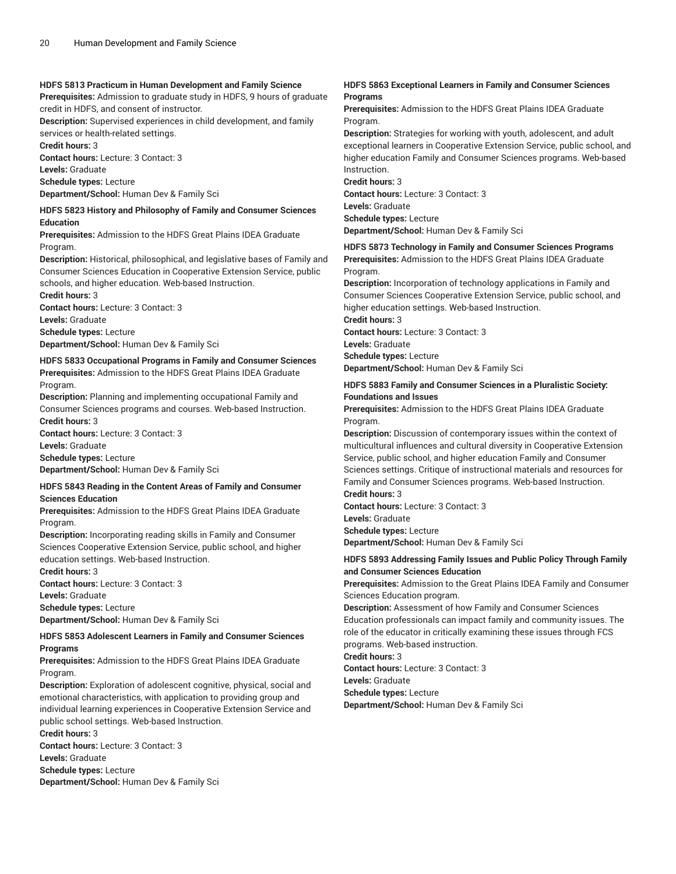### **HDFS 5813 Practicum in Human Development and Family Science**

**Prerequisites:** Admission to graduate study in HDFS, 9 hours of graduate credit in HDFS, and consent of instructor.

**Description:** Supervised experiences in child development, and family services or health-related settings.

**Credit hours:** 3

**Contact hours:** Lecture: 3 Contact: 3

**Levels:** Graduate **Schedule types:** Lecture

**Department/School:** Human Dev & Family Sci

### **HDFS 5823 History and Philosophy of Family and Consumer Sciences Education**

**Prerequisites:** Admission to the HDFS Great Plains IDEA Graduate Program.

**Description:** Historical, philosophical, and legislative bases of Family and Consumer Sciences Education in Cooperative Extension Service, public schools, and higher education. Web-based Instruction.

**Credit hours:** 3 **Contact hours:** Lecture: 3 Contact: 3 **Levels:** Graduate **Schedule types:** Lecture

**Department/School:** Human Dev & Family Sci

### **HDFS 5833 Occupational Programs in Family and Consumer Sciences Prerequisites:** Admission to the HDFS Great Plains IDEA Graduate Program.

**Description:** Planning and implementing occupational Family and Consumer Sciences programs and courses. Web-based Instruction. **Credit hours:** 3

**Contact hours:** Lecture: 3 Contact: 3 **Levels:** Graduate **Schedule types:** Lecture

**Department/School:** Human Dev & Family Sci

### **HDFS 5843 Reading in the Content Areas of Family and Consumer Sciences Education**

**Prerequisites:** Admission to the HDFS Great Plains IDEA Graduate Program.

**Description:** Incorporating reading skills in Family and Consumer Sciences Cooperative Extension Service, public school, and higher education settings. Web-based Instruction.

**Credit hours:** 3 **Contact hours:** Lecture: 3 Contact: 3

**Levels:** Graduate

**Schedule types:** Lecture

**Department/School:** Human Dev & Family Sci

### **HDFS 5853 Adolescent Learners in Family and Consumer Sciences Programs**

**Prerequisites:** Admission to the HDFS Great Plains IDEA Graduate Program.

**Description:** Exploration of adolescent cognitive, physical, social and emotional characteristics, with application to providing group and individual learning experiences in Cooperative Extension Service and public school settings. Web-based Instruction.

**Credit hours:** 3

**Contact hours:** Lecture: 3 Contact: 3

**Levels:** Graduate

**Schedule types:** Lecture

**Department/School:** Human Dev & Family Sci

### **HDFS 5863 Exceptional Learners in Family and Consumer Sciences Programs**

**Prerequisites:** Admission to the HDFS Great Plains IDEA Graduate Program.

**Description:** Strategies for working with youth, adolescent, and adult exceptional learners in Cooperative Extension Service, public school, and higher education Family and Consumer Sciences programs. Web-based Instruction.

**Credit hours:** 3 **Contact hours:** Lecture: 3 Contact: 3 **Levels:** Graduate **Schedule types:** Lecture

**Department/School:** Human Dev & Family Sci

### **HDFS 5873 Technology in Family and Consumer Sciences Programs**

**Prerequisites:** Admission to the HDFS Great Plains IDEA Graduate Program.

**Description:** Incorporation of technology applications in Family and Consumer Sciences Cooperative Extension Service, public school, and higher education settings. Web-based Instruction.

**Credit hours:** 3

**Contact hours:** Lecture: 3 Contact: 3

**Levels:** Graduate **Schedule types:** Lecture

**Department/School:** Human Dev & Family Sci

### **HDFS 5883 Family and Consumer Sciences in a Pluralistic Society: Foundations and Issues**

**Prerequisites:** Admission to the HDFS Great Plains IDEA Graduate Program.

**Description:** Discussion of contemporary issues within the context of multicultural influences and cultural diversity in Cooperative Extension Service, public school, and higher education Family and Consumer Sciences settings. Critique of instructional materials and resources for Family and Consumer Sciences programs. Web-based Instruction. **Credit hours:** 3

**Contact hours:** Lecture: 3 Contact: 3

**Levels:** Graduate

**Schedule types:** Lecture

**Department/School:** Human Dev & Family Sci

### **HDFS 5893 Addressing Family Issues and Public Policy Through Family and Consumer Sciences Education**

**Prerequisites:** Admission to the Great Plains IDEA Family and Consumer Sciences Education program.

**Description:** Assessment of how Family and Consumer Sciences Education professionals can impact family and community issues. The role of the educator in critically examining these issues through FCS programs. Web-based instruction.

**Credit hours:** 3

**Contact hours:** Lecture: 3 Contact: 3

**Levels:** Graduate

**Schedule types:** Lecture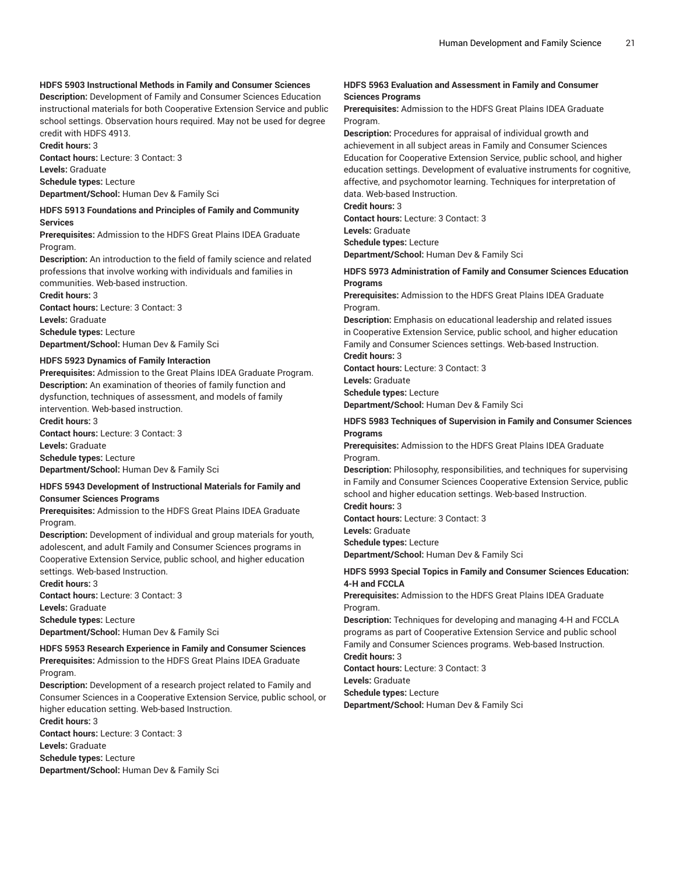### **HDFS 5903 Instructional Methods in Family and Consumer Sciences**

**Description:** Development of Family and Consumer Sciences Education instructional materials for both Cooperative Extension Service and public school settings. Observation hours required. May not be used for degree credit with HDFS 4913.

**Credit hours:** 3

**Contact hours:** Lecture: 3 Contact: 3 **Levels:** Graduate

**Schedule types:** Lecture **Department/School:** Human Dev & Family Sci

#### **HDFS 5913 Foundations and Principles of Family and Community Services**

**Prerequisites:** Admission to the HDFS Great Plains IDEA Graduate Program.

**Description:** An introduction to the field of family science and related professions that involve working with individuals and families in communities. Web-based instruction.

**Credit hours:** 3 **Contact hours:** Lecture: 3 Contact: 3 **Levels:** Graduate **Schedule types:** Lecture **Department/School:** Human Dev & Family Sci

#### **HDFS 5923 Dynamics of Family Interaction**

**Prerequisites:** Admission to the Great Plains IDEA Graduate Program. **Description:** An examination of theories of family function and dysfunction, techniques of assessment, and models of family intervention. Web-based instruction.

**Credit hours:** 3 **Contact hours:** Lecture: 3 Contact: 3 **Levels:** Graduate **Schedule types:** Lecture

**Department/School:** Human Dev & Family Sci

### **HDFS 5943 Development of Instructional Materials for Family and Consumer Sciences Programs**

**Prerequisites:** Admission to the HDFS Great Plains IDEA Graduate Program.

**Description:** Development of individual and group materials for youth, adolescent, and adult Family and Consumer Sciences programs in Cooperative Extension Service, public school, and higher education settings. Web-based Instruction.

**Credit hours:** 3

**Contact hours:** Lecture: 3 Contact: 3 **Levels:** Graduate **Schedule types:** Lecture **Department/School:** Human Dev & Family Sci

### **HDFS 5953 Research Experience in Family and Consumer Sciences**

**Prerequisites:** Admission to the HDFS Great Plains IDEA Graduate Program.

**Description:** Development of a research project related to Family and Consumer Sciences in a Cooperative Extension Service, public school, or higher education setting. Web-based Instruction.

**Credit hours:** 3

**Contact hours:** Lecture: 3 Contact: 3

**Levels:** Graduate

**Schedule types:** Lecture

**Department/School:** Human Dev & Family Sci

### **HDFS 5963 Evaluation and Assessment in Family and Consumer Sciences Programs**

**Prerequisites:** Admission to the HDFS Great Plains IDEA Graduate Program.

**Description:** Procedures for appraisal of individual growth and achievement in all subject areas in Family and Consumer Sciences Education for Cooperative Extension Service, public school, and higher education settings. Development of evaluative instruments for cognitive, affective, and psychomotor learning. Techniques for interpretation of data. Web-based Instruction.

**Credit hours:** 3

**Contact hours:** Lecture: 3 Contact: 3 **Levels:** Graduate **Schedule types:** Lecture

**Department/School:** Human Dev & Family Sci

### **HDFS 5973 Administration of Family and Consumer Sciences Education Programs**

**Prerequisites:** Admission to the HDFS Great Plains IDEA Graduate Program.

**Description:** Emphasis on educational leadership and related issues in Cooperative Extension Service, public school, and higher education Family and Consumer Sciences settings. Web-based Instruction.

**Credit hours:** 3

**Contact hours:** Lecture: 3 Contact: 3

**Levels:** Graduate

**Schedule types:** Lecture

**Department/School:** Human Dev & Family Sci

### **HDFS 5983 Techniques of Supervision in Family and Consumer Sciences Programs**

**Prerequisites:** Admission to the HDFS Great Plains IDEA Graduate Program.

**Description:** Philosophy, responsibilities, and techniques for supervising in Family and Consumer Sciences Cooperative Extension Service, public school and higher education settings. Web-based Instruction.

**Credit hours:** 3

**Contact hours:** Lecture: 3 Contact: 3

**Levels:** Graduate

**Schedule types:** Lecture

**Department/School:** Human Dev & Family Sci

### **HDFS 5993 Special Topics in Family and Consumer Sciences Education: 4-H and FCCLA**

**Prerequisites:** Admission to the HDFS Great Plains IDEA Graduate Program.

**Description:** Techniques for developing and managing 4-H and FCCLA programs as part of Cooperative Extension Service and public school Family and Consumer Sciences programs. Web-based Instruction. **Credit hours:** 3

**Contact hours:** Lecture: 3 Contact: 3 **Levels:** Graduate

**Schedule types:** Lecture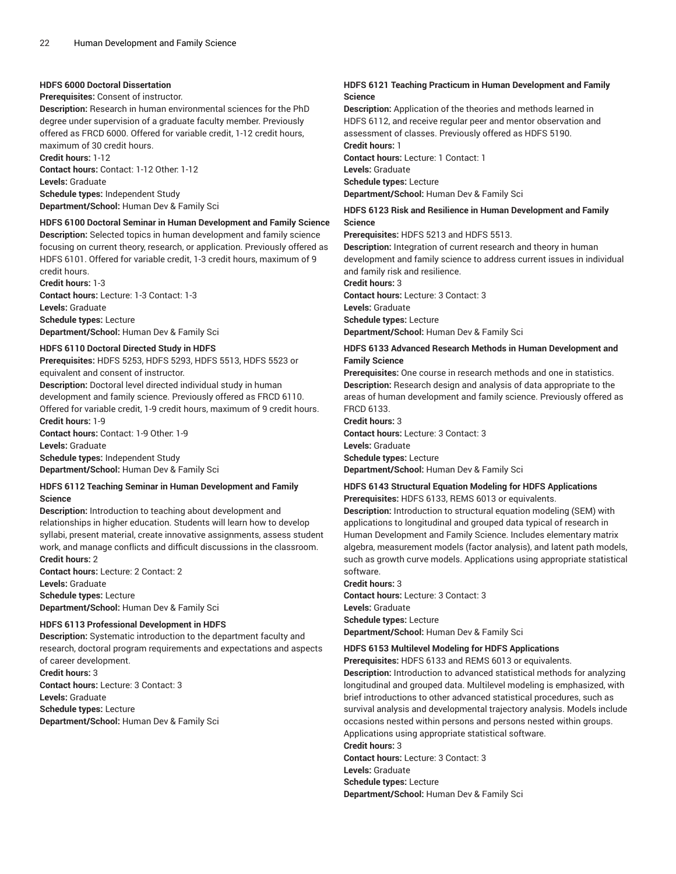### **HDFS 6000 Doctoral Dissertation**

**Prerequisites:** Consent of instructor.

**Description:** Research in human environmental sciences for the PhD degree under supervision of a graduate faculty member. Previously offered as FRCD 6000. Offered for variable credit, 1-12 credit hours, maximum of 30 credit hours. **Credit hours:** 1-12

**Contact hours:** Contact: 1-12 Other: 1-12 **Levels:** Graduate **Schedule types:** Independent Study

**Department/School:** Human Dev & Family Sci

### **HDFS 6100 Doctoral Seminar in Human Development and Family Science**

**Description:** Selected topics in human development and family science focusing on current theory, research, or application. Previously offered as HDFS 6101. Offered for variable credit, 1-3 credit hours, maximum of 9 credit hours.

**Credit hours:** 1-3 **Contact hours:** Lecture: 1-3 Contact: 1-3 **Levels:** Graduate **Schedule types:** Lecture **Department/School:** Human Dev & Family Sci

#### **HDFS 6110 Doctoral Directed Study in HDFS**

**Prerequisites:** HDFS 5253, HDFS 5293, HDFS 5513, HDFS 5523 or equivalent and consent of instructor.

**Description:** Doctoral level directed individual study in human development and family science. Previously offered as FRCD 6110. Offered for variable credit, 1-9 credit hours, maximum of 9 credit hours. **Credit hours:** 1-9

**Contact hours:** Contact: 1-9 Other: 1-9 **Levels:** Graduate **Schedule types:** Independent Study

**Department/School:** Human Dev & Family Sci

#### **HDFS 6112 Teaching Seminar in Human Development and Family Science**

**Description:** Introduction to teaching about development and relationships in higher education. Students will learn how to develop syllabi, present material, create innovative assignments, assess student work, and manage conflicts and difficult discussions in the classroom. **Credit hours:** 2

**Contact hours:** Lecture: 2 Contact: 2 **Levels:** Graduate **Schedule types:** Lecture **Department/School:** Human Dev & Family Sci

### **HDFS 6113 Professional Development in HDFS**

**Description:** Systematic introduction to the department faculty and research, doctoral program requirements and expectations and aspects of career development.

**Credit hours:** 3 **Contact hours:** Lecture: 3 Contact: 3 **Levels:** Graduate **Schedule types:** Lecture **Department/School:** Human Dev & Family Sci

### **HDFS 6121 Teaching Practicum in Human Development and Family Science**

**Description:** Application of the theories and methods learned in HDFS 6112, and receive regular peer and mentor observation and assessment of classes. Previously offered as HDFS 5190. **Credit hours:** 1 **Contact hours:** Lecture: 1 Contact: 1 **Levels:** Graduate

**Schedule types:** Lecture **Department/School:** Human Dev & Family Sci

### **HDFS 6123 Risk and Resilience in Human Development and Family Science**

**Prerequisites:** HDFS 5213 and HDFS 5513.

**Description:** Integration of current research and theory in human development and family science to address current issues in individual and family risk and resilience.

**Credit hours:** 3

**Contact hours:** Lecture: 3 Contact: 3

**Levels:** Graduate

**Schedule types:** Lecture

**Department/School:** Human Dev & Family Sci

### **HDFS 6133 Advanced Research Methods in Human Development and Family Science**

**Prerequisites:** One course in research methods and one in statistics. **Description:** Research design and analysis of data appropriate to the areas of human development and family science. Previously offered as FRCD 6133.

**Credit hours:** 3 **Contact hours:** Lecture: 3 Contact: 3 **Levels:** Graduate **Schedule types:** Lecture **Department/School:** Human Dev & Family Sci

#### **HDFS 6143 Structural Equation Modeling for HDFS Applications Prerequisites:** HDFS 6133, REMS 6013 or equivalents.

**Description:** Introduction to structural equation modeling (SEM) with applications to longitudinal and grouped data typical of research in Human Development and Family Science. Includes elementary matrix algebra, measurement models (factor analysis), and latent path models, such as growth curve models. Applications using appropriate statistical software.

**Credit hours:** 3

**Contact hours:** Lecture: 3 Contact: 3 **Levels:** Graduate **Schedule types:** Lecture **Department/School:** Human Dev & Family Sci

### **HDFS 6153 Multilevel Modeling for HDFS Applications**

**Prerequisites:** HDFS 6133 and REMS 6013 or equivalents.

**Description:** Introduction to advanced statistical methods for analyzing longitudinal and grouped data. Multilevel modeling is emphasized, with brief introductions to other advanced statistical procedures, such as survival analysis and developmental trajectory analysis. Models include occasions nested within persons and persons nested within groups. Applications using appropriate statistical software.

**Credit hours:** 3

**Contact hours:** Lecture: 3 Contact: 3

**Levels:** Graduate

**Schedule types:** Lecture